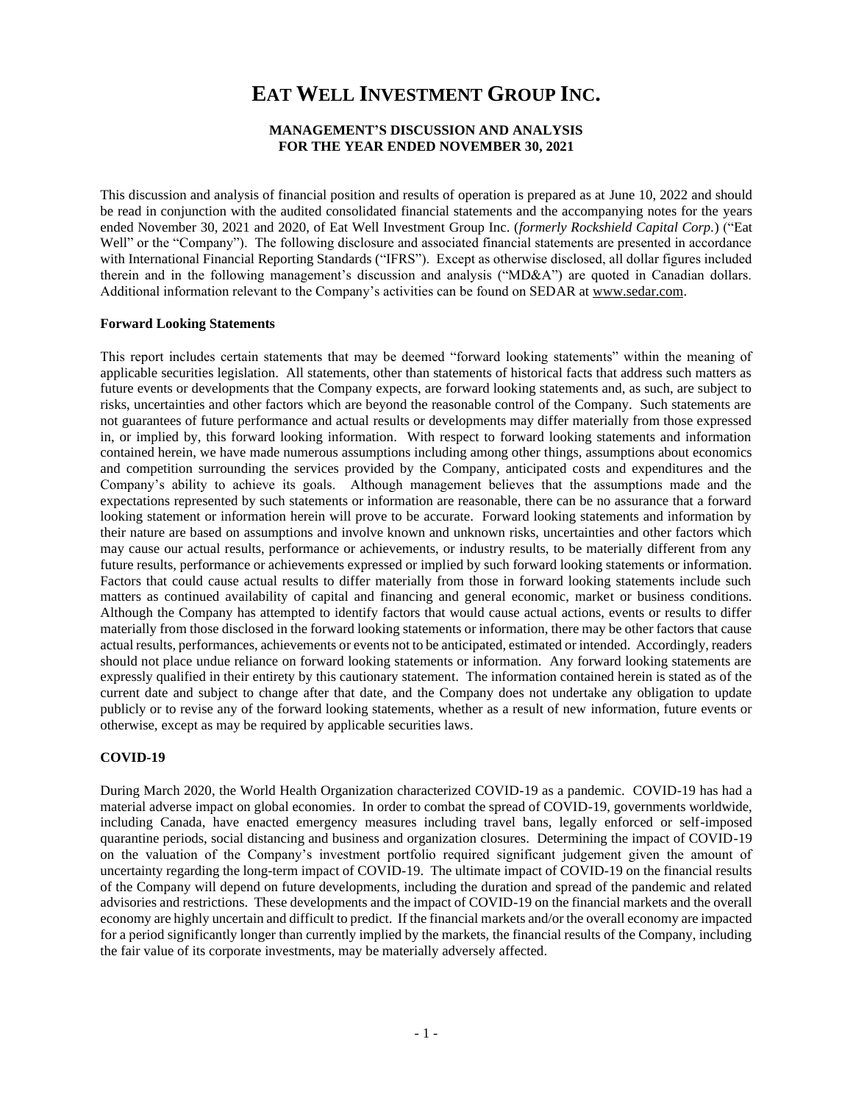# **EAT WELL INVESTMENT GROUP INC.**

# **MANAGEMENT'S DISCUSSION AND ANALYSIS FOR THE YEAR ENDED NOVEMBER 30, 2021**

This discussion and analysis of financial position and results of operation is prepared as at June 10, 2022 and should be read in conjunction with the audited consolidated financial statements and the accompanying notes for the years ended November 30, 2021 and 2020, of Eat Well Investment Group Inc. (*formerly Rockshield Capital Corp.*) ("Eat Well" or the "Company"). The following disclosure and associated financial statements are presented in accordance with International Financial Reporting Standards ("IFRS"). Except as otherwise disclosed, all dollar figures included therein and in the following management's discussion and analysis ("MD&A") are quoted in Canadian dollars. Additional information relevant to the Company's activities can be found on SEDAR a[t www.sedar.com.](http://www.sedar.com/)

# **Forward Looking Statements**

This report includes certain statements that may be deemed "forward looking statements" within the meaning of applicable securities legislation. All statements, other than statements of historical facts that address such matters as future events or developments that the Company expects, are forward looking statements and, as such, are subject to risks, uncertainties and other factors which are beyond the reasonable control of the Company. Such statements are not guarantees of future performance and actual results or developments may differ materially from those expressed in, or implied by, this forward looking information. With respect to forward looking statements and information contained herein, we have made numerous assumptions including among other things, assumptions about economics and competition surrounding the services provided by the Company, anticipated costs and expenditures and the Company's ability to achieve its goals. Although management believes that the assumptions made and the expectations represented by such statements or information are reasonable, there can be no assurance that a forward looking statement or information herein will prove to be accurate. Forward looking statements and information by their nature are based on assumptions and involve known and unknown risks, uncertainties and other factors which may cause our actual results, performance or achievements, or industry results, to be materially different from any future results, performance or achievements expressed or implied by such forward looking statements or information. Factors that could cause actual results to differ materially from those in forward looking statements include such matters as continued availability of capital and financing and general economic, market or business conditions. Although the Company has attempted to identify factors that would cause actual actions, events or results to differ materially from those disclosed in the forward looking statements or information, there may be other factors that cause actual results, performances, achievements or events not to be anticipated, estimated or intended. Accordingly, readers should not place undue reliance on forward looking statements or information. Any forward looking statements are expressly qualified in their entirety by this cautionary statement. The information contained herein is stated as of the current date and subject to change after that date, and the Company does not undertake any obligation to update publicly or to revise any of the forward looking statements, whether as a result of new information, future events or otherwise, except as may be required by applicable securities laws.

# **COVID-19**

During March 2020, the World Health Organization characterized COVID-19 as a pandemic. COVID-19 has had a material adverse impact on global economies. In order to combat the spread of COVID-19, governments worldwide, including Canada, have enacted emergency measures including travel bans, legally enforced or self-imposed quarantine periods, social distancing and business and organization closures. Determining the impact of COVID-19 on the valuation of the Company's investment portfolio required significant judgement given the amount of uncertainty regarding the long-term impact of COVID-19. The ultimate impact of COVID-19 on the financial results of the Company will depend on future developments, including the duration and spread of the pandemic and related advisories and restrictions. These developments and the impact of COVID-19 on the financial markets and the overall economy are highly uncertain and difficult to predict. If the financial markets and/or the overall economy are impacted for a period significantly longer than currently implied by the markets, the financial results of the Company, including the fair value of its corporate investments, may be materially adversely affected.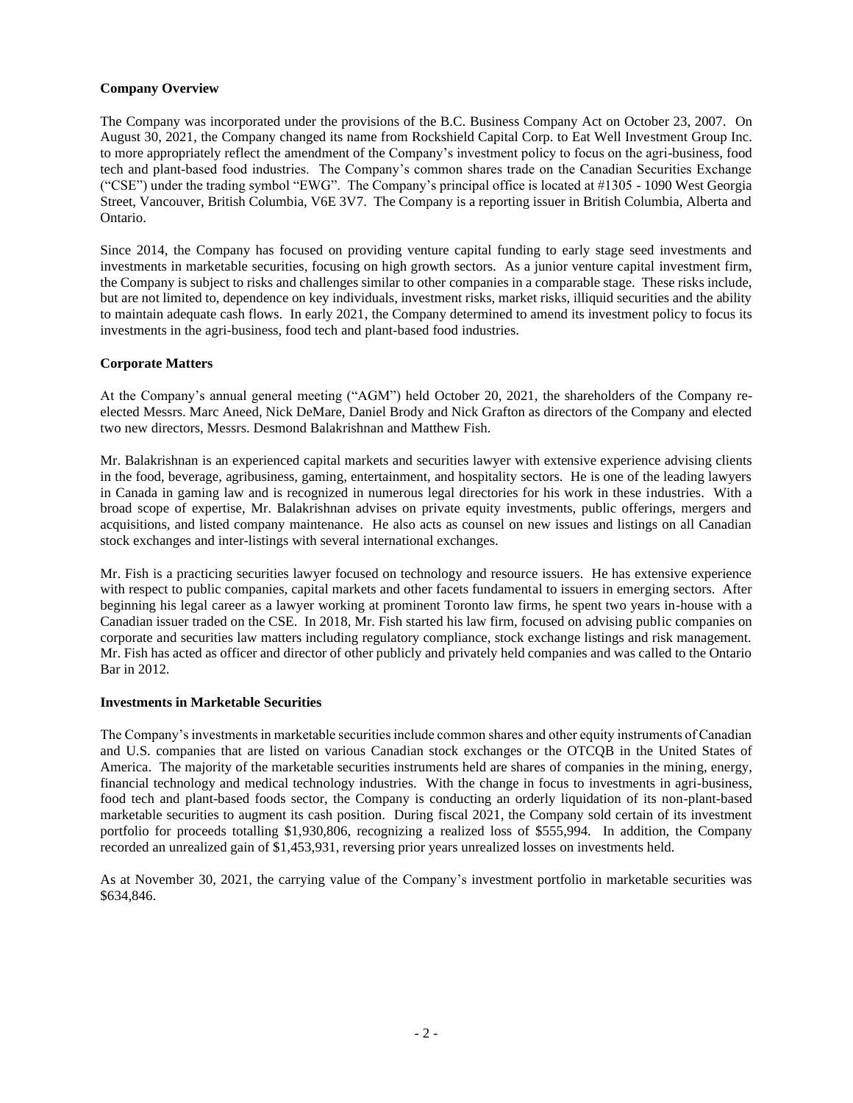# **Company Overview**

The Company was incorporated under the provisions of the B.C. Business Company Act on October 23, 2007. On August 30, 2021, the Company changed its name from Rockshield Capital Corp. to Eat Well Investment Group Inc. to more appropriately reflect the amendment of the Company's investment policy to focus on the agri-business, food tech and plant-based food industries. The Company's common shares trade on the Canadian Securities Exchange ("CSE") under the trading symbol "EWG". The Company's principal office is located at #1305 - 1090 West Georgia Street, Vancouver, British Columbia, V6E 3V7. The Company is a reporting issuer in British Columbia, Alberta and Ontario.

Since 2014, the Company has focused on providing venture capital funding to early stage seed investments and investments in marketable securities, focusing on high growth sectors. As a junior venture capital investment firm, the Company is subject to risks and challenges similar to other companies in a comparable stage. These risks include, but are not limited to, dependence on key individuals, investment risks, market risks, illiquid securities and the ability to maintain adequate cash flows. In early 2021, the Company determined to amend its investment policy to focus its investments in the agri-business, food tech and plant-based food industries.

# **Corporate Matters**

At the Company's annual general meeting ("AGM") held October 20, 2021, the shareholders of the Company reelected Messrs. Marc Aneed, Nick DeMare, Daniel Brody and Nick Grafton as directors of the Company and elected two new directors, Messrs. Desmond Balakrishnan and Matthew Fish.

Mr. Balakrishnan is an experienced capital markets and securities lawyer with extensive experience advising clients in the food, beverage, agribusiness, gaming, entertainment, and hospitality sectors. He is one of the leading lawyers in Canada in gaming law and is recognized in numerous legal directories for his work in these industries. With a broad scope of expertise, Mr. Balakrishnan advises on private equity investments, public offerings, mergers and acquisitions, and listed company maintenance. He also acts as counsel on new issues and listings on all Canadian stock exchanges and inter-listings with several international exchanges.

Mr. Fish is a practicing securities lawyer focused on technology and resource issuers. He has extensive experience with respect to public companies, capital markets and other facets fundamental to issuers in emerging sectors. After beginning his legal career as a lawyer working at prominent Toronto law firms, he spent two years in-house with a Canadian issuer traded on the CSE. In 2018, Mr. Fish started his law firm, focused on advising public companies on corporate and securities law matters including regulatory compliance, stock exchange listings and risk management. Mr. Fish has acted as officer and director of other publicly and privately held companies and was called to the Ontario Bar in 2012.

#### **Investments in Marketable Securities**

The Company's investments in marketable securities include common shares and other equity instruments of Canadian and U.S. companies that are listed on various Canadian stock exchanges or the OTCQB in the United States of America. The majority of the marketable securities instruments held are shares of companies in the mining, energy, financial technology and medical technology industries. With the change in focus to investments in agri-business, food tech and plant-based foods sector, the Company is conducting an orderly liquidation of its non-plant-based marketable securities to augment its cash position. During fiscal 2021, the Company sold certain of its investment portfolio for proceeds totalling \$1,930,806, recognizing a realized loss of \$555,994. In addition, the Company recorded an unrealized gain of \$1,453,931, reversing prior years unrealized losses on investments held.

As at November 30, 2021, the carrying value of the Company's investment portfolio in marketable securities was \$634,846.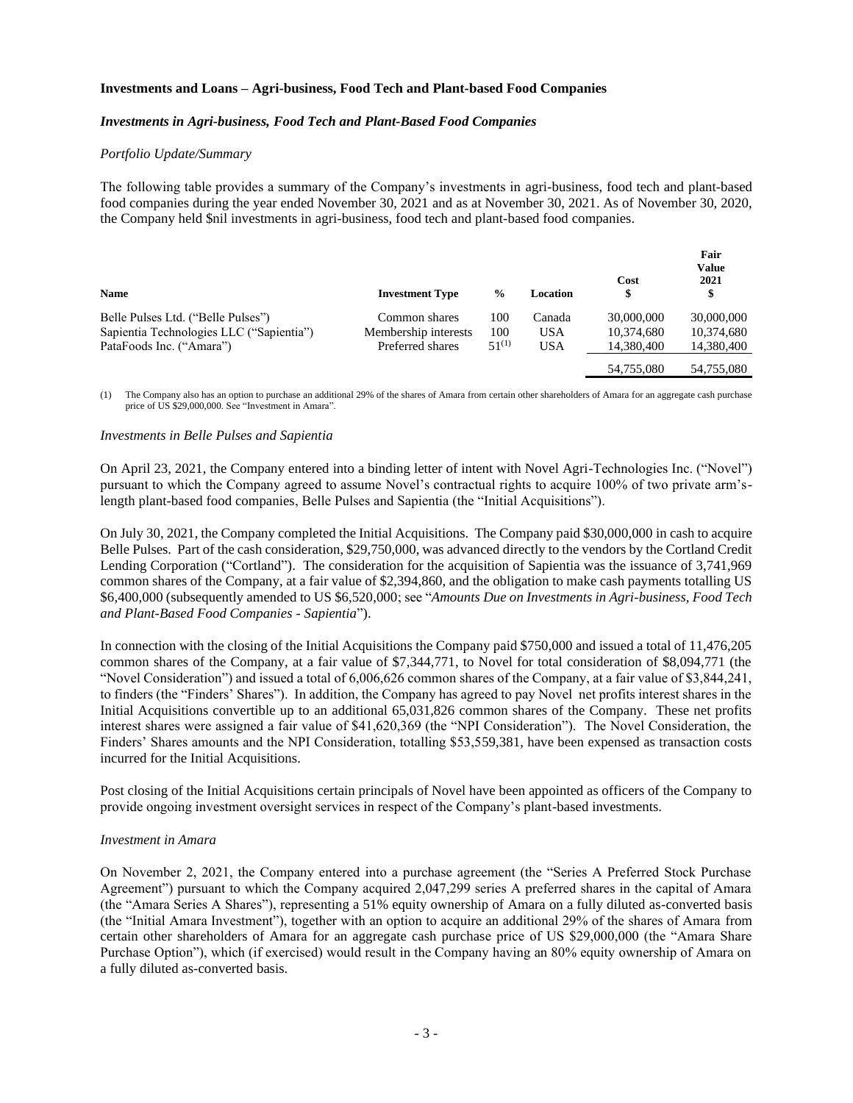# **Investments and Loans – Agri-business, Food Tech and Plant-based Food Companies**

## *Investments in Agri-business, Food Tech and Plant-Based Food Companies*

#### *Portfolio Update/Summary*

The following table provides a summary of the Company's investments in agri-business, food tech and plant-based food companies during the year ended November 30, 2021 and as at November 30, 2021. As of November 30, 2020, the Company held \$nil investments in agri-business, food tech and plant-based food companies.

| <b>Name</b>                              | <b>Investment Type</b> | $\frac{6}{9}$ | Location   | Cost<br>\$ | Fair<br><b>Value</b><br>2021<br>\$ |
|------------------------------------------|------------------------|---------------|------------|------------|------------------------------------|
| Belle Pulses Ltd. ("Belle Pulses")       | Common shares          | 100           | Canada     | 30,000,000 | 30,000,000                         |
| Sapientia Technologies LLC ("Sapientia") | Membership interests   | 100           | <b>USA</b> | 10.374.680 | 10,374,680                         |
| PataFoods Inc. ("Amara")                 | Preferred shares       | $51^{(1)}$    | <b>USA</b> | 14,380,400 | 14,380,400                         |
|                                          |                        |               |            | 54,755,080 | 54,755,080                         |

(1) The Company also has an option to purchase an additional 29% of the shares of Amara from certain other shareholders of Amara for an aggregate cash purchase price of US \$29,000,000. See "Investment in Amara".

#### *Investments in Belle Pulses and Sapientia*

On April 23, 2021, the Company entered into a binding letter of intent with Novel Agri-Technologies Inc. ("Novel") pursuant to which the Company agreed to assume Novel's contractual rights to acquire 100% of two private arm'slength plant-based food companies, Belle Pulses and Sapientia (the "Initial Acquisitions").

On July 30, 2021, the Company completed the Initial Acquisitions. The Company paid \$30,000,000 in cash to acquire Belle Pulses. Part of the cash consideration, \$29,750,000, was advanced directly to the vendors by the Cortland Credit Lending Corporation ("Cortland"). The consideration for the acquisition of Sapientia was the issuance of 3,741,969 common shares of the Company, at a fair value of \$2,394,860, and the obligation to make cash payments totalling US \$6,400,000 (subsequently amended to US \$6,520,000; see "*Amounts Due on Investments in Agri-business, Food Tech and Plant-Based Food Companies - Sapientia*").

In connection with the closing of the Initial Acquisitions the Company paid \$750,000 and issued a total of 11,476,205 common shares of the Company, at a fair value of \$7,344,771, to Novel for total consideration of \$8,094,771 (the "Novel Consideration") and issued a total of 6,006,626 common shares of the Company, at a fair value of \$3,844,241, to finders (the "Finders' Shares"). In addition, the Company has agreed to pay Novel net profits interest shares in the Initial Acquisitions convertible up to an additional 65,031,826 common shares of the Company. These net profits interest shares were assigned a fair value of \$41,620,369 (the "NPI Consideration"). The Novel Consideration, the Finders' Shares amounts and the NPI Consideration, totalling \$53,559,381, have been expensed as transaction costs incurred for the Initial Acquisitions.

Post closing of the Initial Acquisitions certain principals of Novel have been appointed as officers of the Company to provide ongoing investment oversight services in respect of the Company's plant-based investments.

#### *Investment in Amara*

On November 2, 2021, the Company entered into a purchase agreement (the "Series A Preferred Stock Purchase Agreement") pursuant to which the Company acquired 2,047,299 series A preferred shares in the capital of Amara (the "Amara Series A Shares"), representing a 51% equity ownership of Amara on a fully diluted as-converted basis (the "Initial Amara Investment"), together with an option to acquire an additional 29% of the shares of Amara from certain other shareholders of Amara for an aggregate cash purchase price of US \$29,000,000 (the "Amara Share Purchase Option"), which (if exercised) would result in the Company having an 80% equity ownership of Amara on a fully diluted as-converted basis.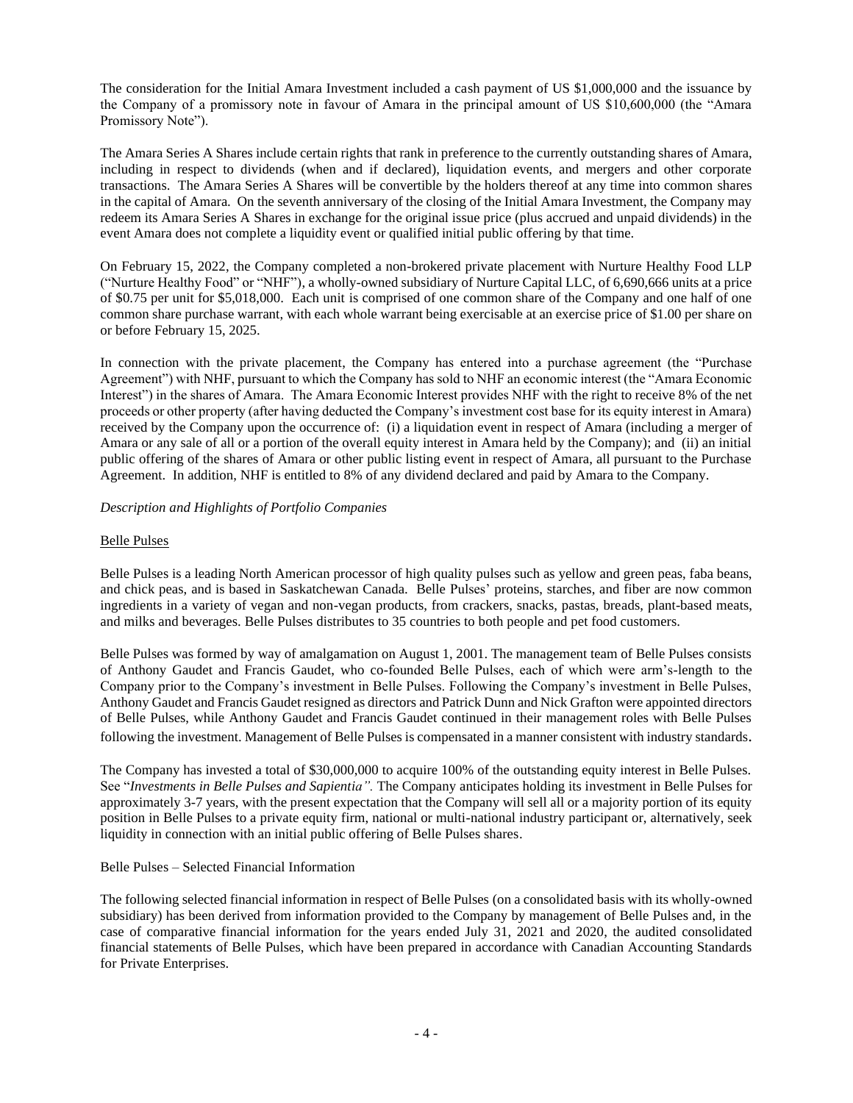The consideration for the Initial Amara Investment included a cash payment of US \$1,000,000 and the issuance by the Company of a promissory note in favour of Amara in the principal amount of US \$10,600,000 (the "Amara Promissory Note").

The Amara Series A Shares include certain rights that rank in preference to the currently outstanding shares of Amara, including in respect to dividends (when and if declared), liquidation events, and mergers and other corporate transactions. The Amara Series A Shares will be convertible by the holders thereof at any time into common shares in the capital of Amara. On the seventh anniversary of the closing of the Initial Amara Investment, the Company may redeem its Amara Series A Shares in exchange for the original issue price (plus accrued and unpaid dividends) in the event Amara does not complete a liquidity event or qualified initial public offering by that time.

On February 15, 2022, the Company completed a non-brokered private placement with Nurture Healthy Food LLP ("Nurture Healthy Food" or "NHF"), a wholly-owned subsidiary of Nurture Capital LLC, of 6,690,666 units at a price of \$0.75 per unit for \$5,018,000. Each unit is comprised of one common share of the Company and one half of one common share purchase warrant, with each whole warrant being exercisable at an exercise price of \$1.00 per share on or before February 15, 2025.

In connection with the private placement, the Company has entered into a purchase agreement (the "Purchase Agreement") with NHF, pursuant to which the Company has sold to NHF an economic interest (the "Amara Economic Interest") in the shares of Amara. The Amara Economic Interest provides NHF with the right to receive 8% of the net proceeds or other property (after having deducted the Company's investment cost base for its equity interest in Amara) received by the Company upon the occurrence of: (i) a liquidation event in respect of Amara (including a merger of Amara or any sale of all or a portion of the overall equity interest in Amara held by the Company); and (ii) an initial public offering of the shares of Amara or other public listing event in respect of Amara, all pursuant to the Purchase Agreement. In addition, NHF is entitled to 8% of any dividend declared and paid by Amara to the Company.

# *Description and Highlights of Portfolio Companies*

# Belle Pulses

Belle Pulses is a leading North American processor of high quality pulses such as yellow and green peas, faba beans, and chick peas, and is based in Saskatchewan Canada. Belle Pulses' proteins, starches, and fiber are now common ingredients in a variety of vegan and non-vegan products, from crackers, snacks, pastas, breads, plant-based meats, and milks and beverages. Belle Pulses distributes to 35 countries to both people and pet food customers.

Belle Pulses was formed by way of amalgamation on August 1, 2001. The management team of Belle Pulses consists of Anthony Gaudet and Francis Gaudet, who co-founded Belle Pulses, each of which were arm's-length to the Company prior to the Company's investment in Belle Pulses. Following the Company's investment in Belle Pulses, Anthony Gaudet and Francis Gaudet resigned as directors and Patrick Dunn and Nick Grafton were appointed directors of Belle Pulses, while Anthony Gaudet and Francis Gaudet continued in their management roles with Belle Pulses following the investment. Management of Belle Pulses is compensated in a manner consistent with industry standards.

The Company has invested a total of \$30,000,000 to acquire 100% of the outstanding equity interest in Belle Pulses. See "*Investments in Belle Pulses and Sapientia".* The Company anticipates holding its investment in Belle Pulses for approximately 3-7 years, with the present expectation that the Company will sell all or a majority portion of its equity position in Belle Pulses to a private equity firm, national or multi-national industry participant or, alternatively, seek liquidity in connection with an initial public offering of Belle Pulses shares.

#### Belle Pulses – Selected Financial Information

The following selected financial information in respect of Belle Pulses (on a consolidated basis with its wholly-owned subsidiary) has been derived from information provided to the Company by management of Belle Pulses and, in the case of comparative financial information for the years ended July 31, 2021 and 2020, the audited consolidated financial statements of Belle Pulses, which have been prepared in accordance with Canadian Accounting Standards for Private Enterprises.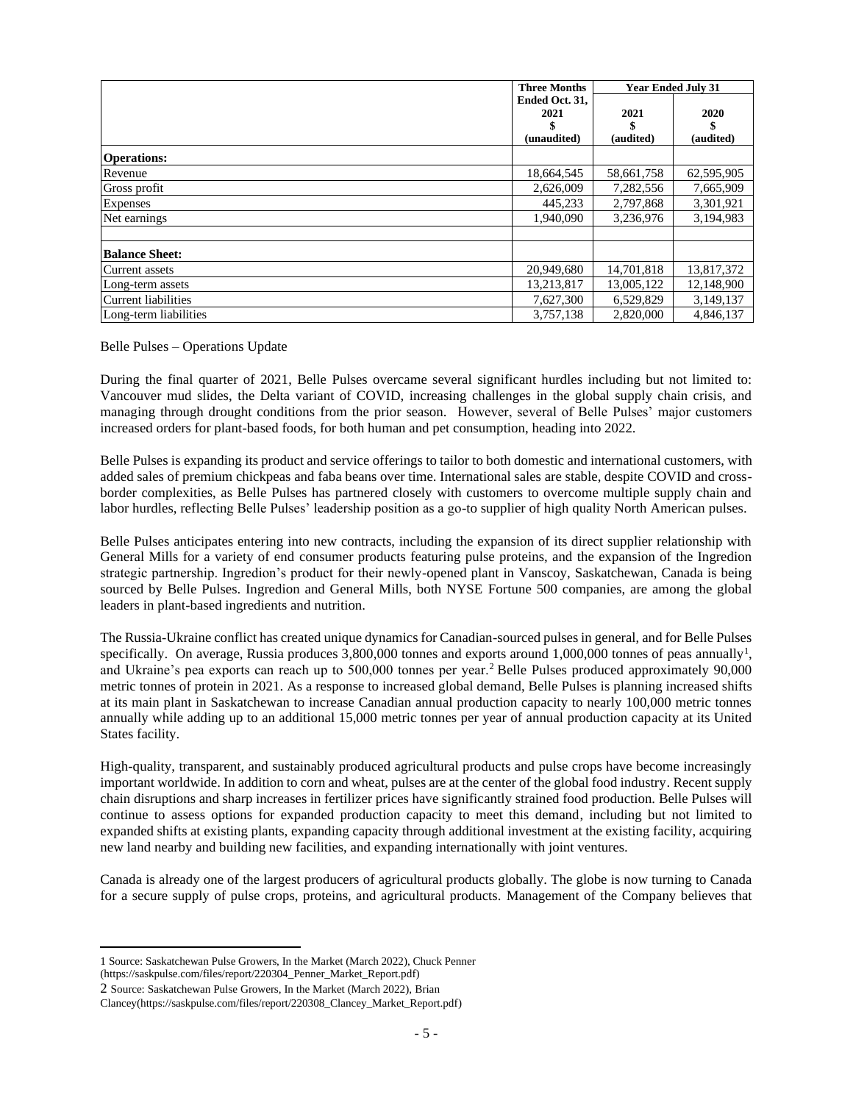|                       | <b>Three Months</b> | <b>Year Ended July 31</b> |            |
|-----------------------|---------------------|---------------------------|------------|
|                       | Ended Oct. 31.      |                           |            |
|                       | 2021                | 2021                      | 2020       |
|                       |                     |                           |            |
|                       | (unaudited)         | (audited)                 | (audited)  |
| <b>Operations:</b>    |                     |                           |            |
| Revenue               | 18,664,545          | 58,661,758                | 62,595,905 |
| Gross profit          | 2,626,009           | 7,282,556                 | 7,665,909  |
| Expenses              | 445,233             | 2,797,868                 | 3,301,921  |
| Net earnings          | 1.940.090           | 3,236,976                 | 3,194,983  |
|                       |                     |                           |            |
| <b>Balance Sheet:</b> |                     |                           |            |
| Current assets        | 20,949,680          | 14,701,818                | 13,817,372 |
| Long-term assets      | 13,213,817          | 13,005,122                | 12,148,900 |
| Current liabilities   | 7,627,300           | 6,529,829                 | 3,149,137  |
| Long-term liabilities | 3,757,138           | 2,820,000                 | 4,846,137  |

Belle Pulses – Operations Update

During the final quarter of 2021, Belle Pulses overcame several significant hurdles including but not limited to: Vancouver mud slides, the Delta variant of COVID, increasing challenges in the global supply chain crisis, and managing through drought conditions from the prior season. However, several of Belle Pulses' major customers increased orders for plant-based foods, for both human and pet consumption, heading into 2022.

Belle Pulses is expanding its product and service offerings to tailor to both domestic and international customers, with added sales of premium chickpeas and faba beans over time. International sales are stable, despite COVID and crossborder complexities, as Belle Pulses has partnered closely with customers to overcome multiple supply chain and labor hurdles, reflecting Belle Pulses' leadership position as a go-to supplier of high quality North American pulses.

Belle Pulses anticipates entering into new contracts, including the expansion of its direct supplier relationship with General Mills for a variety of end consumer products featuring pulse proteins, and the expansion of the Ingredion strategic partnership. Ingredion's product for their newly-opened plant in Vanscoy, Saskatchewan, Canada is being sourced by Belle Pulses. Ingredion and General Mills, both NYSE Fortune 500 companies, are among the global leaders in plant-based ingredients and nutrition.

The Russia-Ukraine conflict has created unique dynamics for Canadian-sourced pulses in general, and for Belle Pulses specifically. On average, Russia produces  $3,800,000$  tonnes and exports around 1,000,000 tonnes of peas annually<sup>1</sup>, and Ukraine's pea exports can reach up to 500,000 tonnes per year.<sup>2</sup> Belle Pulses produced approximately 90,000 metric tonnes of protein in 2021. As a response to increased global demand, Belle Pulses is planning increased shifts at its main plant in Saskatchewan to increase Canadian annual production capacity to nearly 100,000 metric tonnes annually while adding up to an additional 15,000 metric tonnes per year of annual production capacity at its United States facility.

High-quality, transparent, and sustainably produced agricultural products and pulse crops have become increasingly important worldwide. In addition to corn and wheat, pulses are at the center of the global food industry. Recent supply chain disruptions and sharp increases in fertilizer prices have significantly strained food production. Belle Pulses will continue to assess options for expanded production capacity to meet this demand, including but not limited to expanded shifts at existing plants, expanding capacity through additional investment at the existing facility, acquiring new land nearby and building new facilities, and expanding internationally with joint ventures.

Canada is already one of the largest producers of agricultural products globally. The globe is now turning to Canada for a secure supply of pulse crops, proteins, and agricultural products. Management of the Company believes that

(https://saskpulse.com/files/report/220304\_Penner\_Market\_Report.pdf)

<sup>1</sup> Source: Saskatchewan Pulse Growers, In the Market (March 2022), Chuck Penner

<sup>2</sup> Source: Saskatchewan Pulse Growers, In the Market (March 2022), Brian

Clancey(https://saskpulse.com/files/report/220308\_Clancey\_Market\_Report.pdf)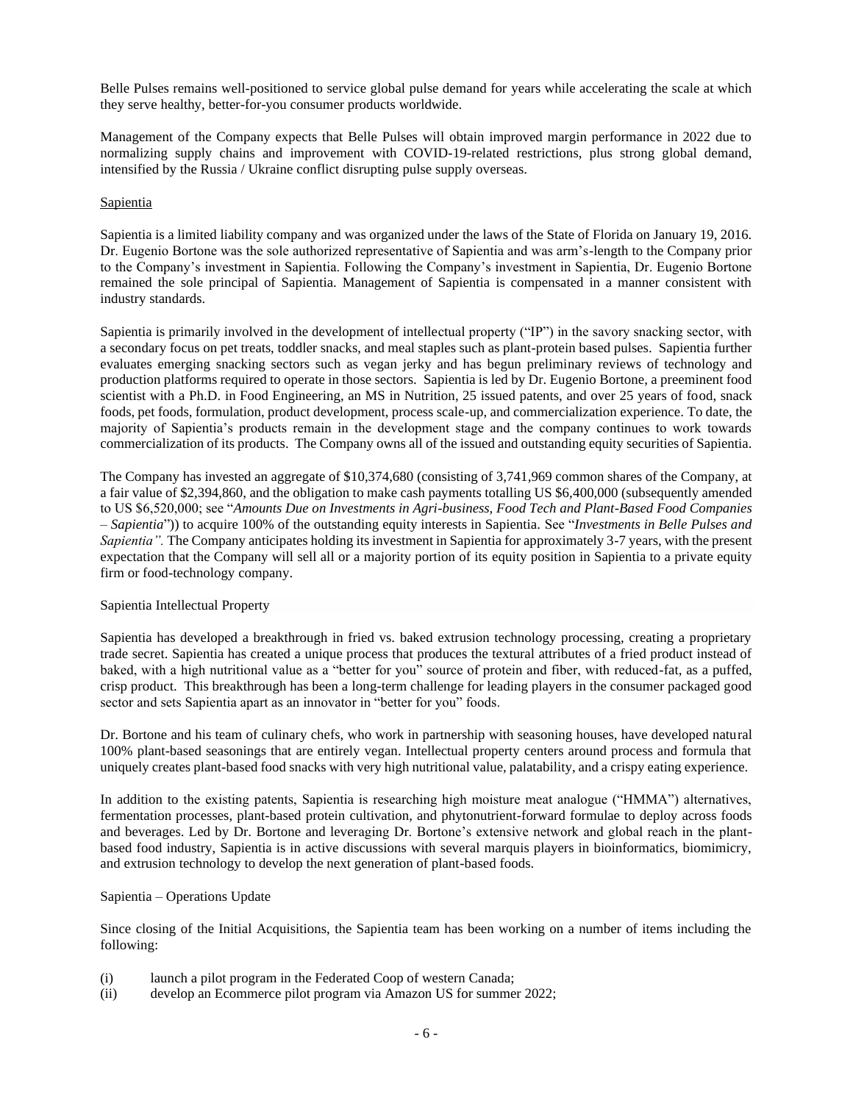Belle Pulses remains well-positioned to service global pulse demand for years while accelerating the scale at which they serve healthy, better-for-you consumer products worldwide.

Management of the Company expects that Belle Pulses will obtain improved margin performance in 2022 due to normalizing supply chains and improvement with COVID-19-related restrictions, plus strong global demand, intensified by the Russia / Ukraine conflict disrupting pulse supply overseas.

# Sapientia

Sapientia is a limited liability company and was organized under the laws of the State of Florida on January 19, 2016. Dr. Eugenio Bortone was the sole authorized representative of Sapientia and was arm's-length to the Company prior to the Company's investment in Sapientia. Following the Company's investment in Sapientia, Dr. Eugenio Bortone remained the sole principal of Sapientia. Management of Sapientia is compensated in a manner consistent with industry standards.

Sapientia is primarily involved in the development of intellectual property ("IP") in the savory snacking sector, with a secondary focus on pet treats, toddler snacks, and meal staples such as plant-protein based pulses. Sapientia further evaluates emerging snacking sectors such as vegan jerky and has begun preliminary reviews of technology and production platforms required to operate in those sectors. Sapientia is led by Dr. Eugenio Bortone, a preeminent food scientist with a Ph.D. in Food Engineering, an MS in Nutrition, 25 issued patents, and over 25 years of food, snack foods, pet foods, formulation, product development, process scale-up, and commercialization experience. To date, the majority of Sapientia's products remain in the development stage and the company continues to work towards commercialization of its products. The Company owns all of the issued and outstanding equity securities of Sapientia.

The Company has invested an aggregate of \$10,374,680 (consisting of 3,741,969 common shares of the Company, at a fair value of \$2,394,860, and the obligation to make cash payments totalling US \$6,400,000 (subsequently amended to US \$6,520,000; see "*Amounts Due on Investments in Agri-business, Food Tech and Plant-Based Food Companies – Sapientia*")) to acquire 100% of the outstanding equity interests in Sapientia. See "*Investments in Belle Pulses and Sapientia".* The Company anticipates holding its investment in Sapientia for approximately 3-7 years, with the present expectation that the Company will sell all or a majority portion of its equity position in Sapientia to a private equity firm or food-technology company.

#### Sapientia Intellectual Property

Sapientia has developed a breakthrough in fried vs. baked extrusion technology processing, creating a proprietary trade secret. Sapientia has created a unique process that produces the textural attributes of a fried product instead of baked, with a high nutritional value as a "better for you" source of protein and fiber, with reduced-fat, as a puffed, crisp product. This breakthrough has been a long-term challenge for leading players in the consumer packaged good sector and sets Sapientia apart as an innovator in "better for you" foods.

Dr. Bortone and his team of culinary chefs, who work in partnership with seasoning houses, have developed natural 100% plant-based seasonings that are entirely vegan. Intellectual property centers around process and formula that uniquely creates plant-based food snacks with very high nutritional value, palatability, and a crispy eating experience.

In addition to the existing patents, Sapientia is researching high moisture meat analogue ("HMMA") alternatives, fermentation processes, plant-based protein cultivation, and phytonutrient-forward formulae to deploy across foods and beverages. Led by Dr. Bortone and leveraging Dr. Bortone's extensive network and global reach in the plantbased food industry, Sapientia is in active discussions with several marquis players in bioinformatics, biomimicry, and extrusion technology to develop the next generation of plant-based foods.

## Sapientia – Operations Update

Since closing of the Initial Acquisitions, the Sapientia team has been working on a number of items including the following:

- (i) launch a pilot program in the Federated Coop of western Canada;
- (ii) develop an Ecommerce pilot program via Amazon US for summer 2022;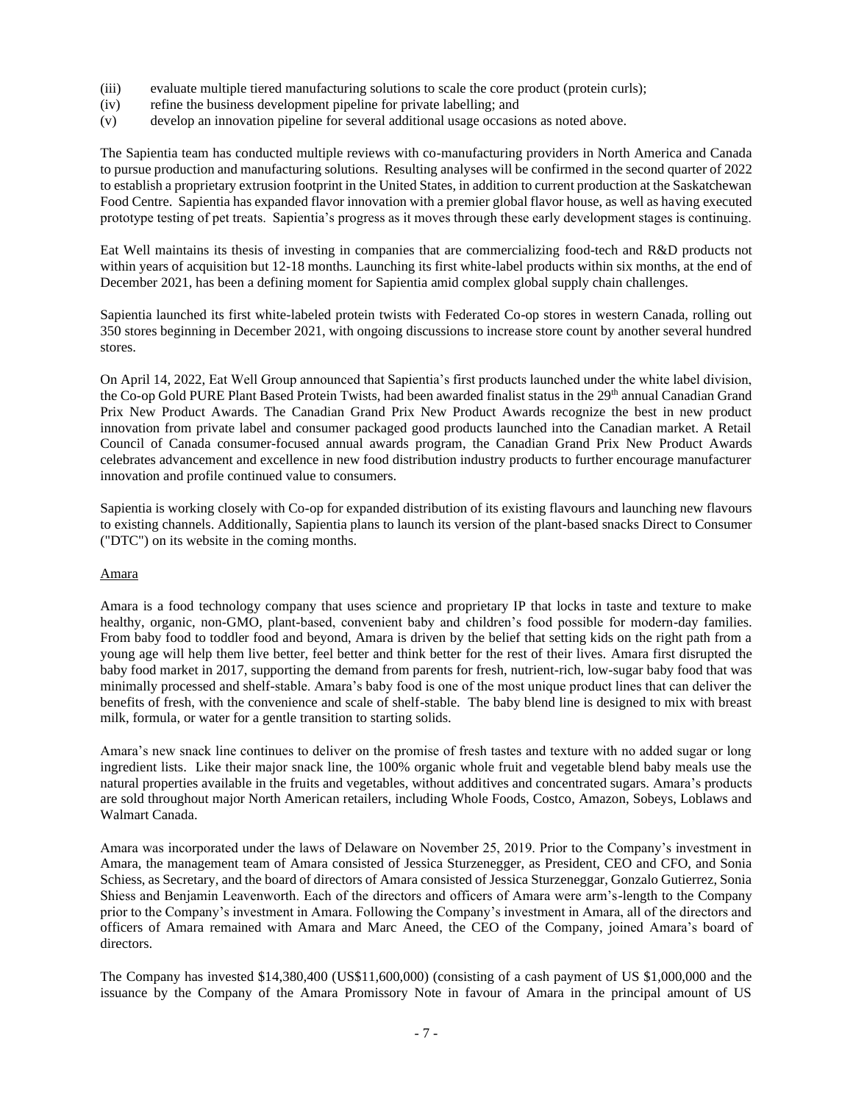- (iii) evaluate multiple tiered manufacturing solutions to scale the core product (protein curls);
- (iv) refine the business development pipeline for private labelling; and
- (v) develop an innovation pipeline for several additional usage occasions as noted above.

The Sapientia team has conducted multiple reviews with co-manufacturing providers in North America and Canada to pursue production and manufacturing solutions. Resulting analyses will be confirmed in the second quarter of 2022 to establish a proprietary extrusion footprint in the United States, in addition to current production at the Saskatchewan Food Centre. Sapientia has expanded flavor innovation with a premier global flavor house, as well as having executed prototype testing of pet treats. Sapientia's progress as it moves through these early development stages is continuing.

Eat Well maintains its thesis of investing in companies that are commercializing food-tech and R&D products not within years of acquisition but 12-18 months. Launching its first white-label products within six months, at the end of December 2021, has been a defining moment for Sapientia amid complex global supply chain challenges.

Sapientia launched its first white-labeled protein twists with Federated Co-op stores in western Canada, rolling out 350 stores beginning in December 2021, with ongoing discussions to increase store count by another several hundred stores.

On April 14, 2022, Eat Well Group announced that Sapientia's first products launched under the white label division, the Co-op Gold PURE Plant Based Protein Twists, had been awarded finalist status in the 29<sup>th</sup> annual Canadian Grand Prix New Product Awards. The Canadian Grand Prix New Product Awards recognize the best in new product innovation from private label and consumer packaged good products launched into the Canadian market. A Retail Council of Canada consumer-focused annual awards program, the Canadian Grand Prix New Product Awards celebrates advancement and excellence in new food distribution industry products to further encourage manufacturer innovation and profile continued value to consumers.

Sapientia is working closely with Co-op for expanded distribution of its existing flavours and launching new flavours to existing channels. Additionally, Sapientia plans to launch its version of the plant-based snacks Direct to Consumer ("DTC") on its website in the coming months.

# Amara

Amara is a food technology company that uses science and proprietary IP that locks in taste and texture to make healthy, organic, non-GMO, plant-based, convenient baby and children's food possible for modern-day families. From baby food to toddler food and beyond, Amara is driven by the belief that setting kids on the right path from a young age will help them live better, feel better and think better for the rest of their lives. Amara first disrupted the baby food market in 2017, supporting the demand from parents for fresh, nutrient-rich, low-sugar baby food that was minimally processed and shelf-stable. Amara's baby food is one of the most unique product lines that can deliver the benefits of fresh, with the convenience and scale of shelf-stable. The baby blend line is designed to mix with breast milk, formula, or water for a gentle transition to starting solids.

Amara's new snack line continues to deliver on the promise of fresh tastes and texture with no added sugar or long ingredient lists. Like their major snack line, the 100% organic whole fruit and vegetable blend baby meals use the natural properties available in the fruits and vegetables, without additives and concentrated sugars. Amara's products are sold throughout major North American retailers, including Whole Foods, Costco, Amazon, Sobeys, Loblaws and Walmart Canada.

Amara was incorporated under the laws of Delaware on November 25, 2019. Prior to the Company's investment in Amara, the management team of Amara consisted of Jessica Sturzenegger, as President, CEO and CFO, and Sonia Schiess, as Secretary, and the board of directors of Amara consisted of Jessica Sturzeneggar, Gonzalo Gutierrez, Sonia Shiess and Benjamin Leavenworth. Each of the directors and officers of Amara were arm's-length to the Company prior to the Company's investment in Amara. Following the Company's investment in Amara, all of the directors and officers of Amara remained with Amara and Marc Aneed, the CEO of the Company, joined Amara's board of directors.

The Company has invested \$14,380,400 (US\$11,600,000) (consisting of a cash payment of US \$1,000,000 and the issuance by the Company of the Amara Promissory Note in favour of Amara in the principal amount of US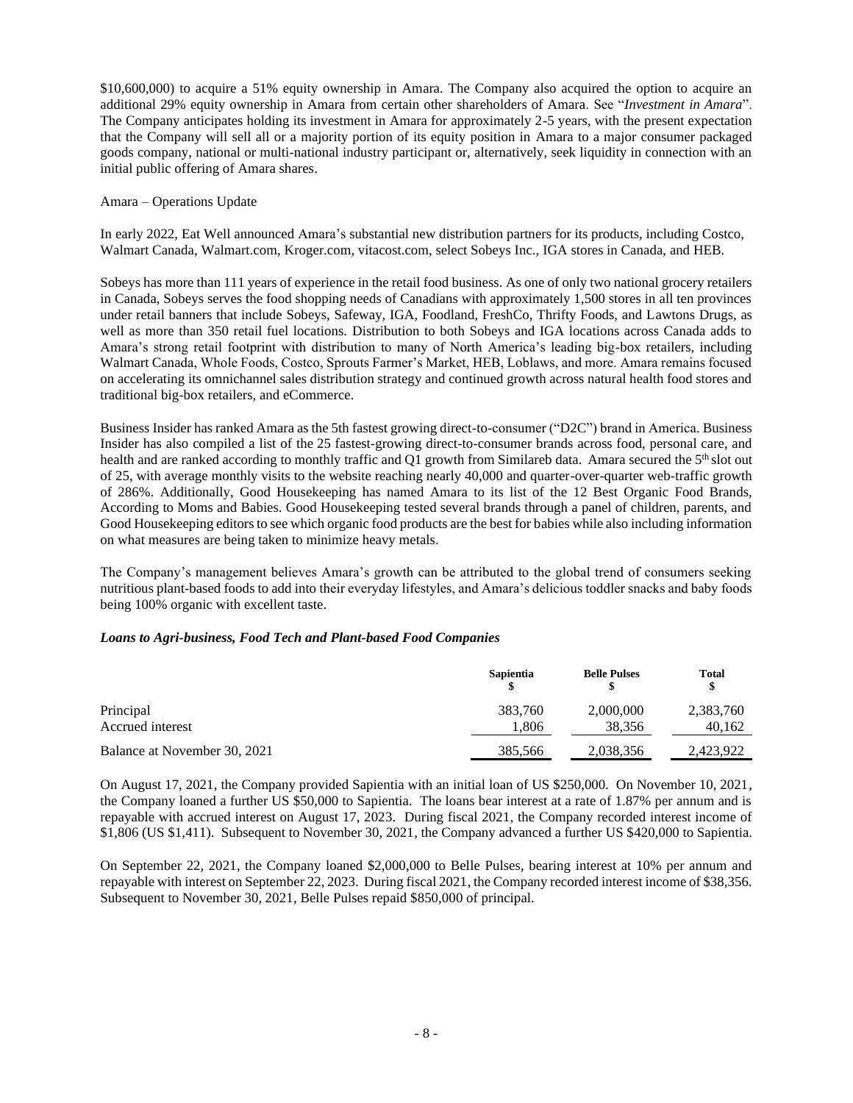\$10,600,000) to acquire a 51% equity ownership in Amara. The Company also acquired the option to acquire an additional 29% equity ownership in Amara from certain other shareholders of Amara. See "*Investment in Amara*". The Company anticipates holding its investment in Amara for approximately 2-5 years, with the present expectation that the Company will sell all or a majority portion of its equity position in Amara to a major consumer packaged goods company, national or multi-national industry participant or, alternatively, seek liquidity in connection with an initial public offering of Amara shares.

#### Amara – Operations Update

In early 2022, Eat Well announced Amara's substantial new distribution partners for its products, including Costco, Walmart Canada, Walmart.com, Kroger.com, vitacost.com, select Sobeys Inc., IGA stores in Canada, and HEB.

Sobeys has more than 111 years of experience in the retail food business. As one of only two national grocery retailers in Canada, Sobeys serves the food shopping needs of Canadians with approximately 1,500 stores in all ten provinces under retail banners that include Sobeys, Safeway, IGA, Foodland, FreshCo, Thrifty Foods, and Lawtons Drugs, as well as more than 350 retail fuel locations. Distribution to both Sobeys and IGA locations across Canada adds to Amara's strong retail footprint with distribution to many of North America's leading big-box retailers, including Walmart Canada, Whole Foods, Costco, Sprouts Farmer's Market, HEB, Loblaws, and more. Amara remains focused on accelerating its omnichannel sales distribution strategy and continued growth across natural health food stores and traditional big-box retailers, and eCommerce.

Business Insider has ranked Amara as the 5th fastest growing direct-to-consumer ("D2C") brand in America. Business Insider has also compiled a list of the 25 fastest-growing direct-to-consumer brands across food, personal care, and health and are ranked according to monthly traffic and Q1 growth from Similareb data. Amara secured the 5<sup>th</sup> slot out of 25, with average monthly visits to the website reaching nearly 40,000 and quarter-over-quarter web-traffic growth of 286%. Additionally, Good Housekeeping has named Amara to its list of the 12 Best Organic Food Brands, According to Moms and Babies. Good Housekeeping tested several brands through a panel of children, parents, and Good Housekeeping editors to see which organic food products are the best for babies while also including information on what measures are being taken to minimize heavy metals.

The Company's management believes Amara's growth can be attributed to the global trend of consumers seeking nutritious plant-based foods to add into their everyday lifestyles, and Amara's delicious toddler snacks and baby foods being 100% organic with excellent taste.

# *Loans to Agri-business, Food Tech and Plant-based Food Companies*

|                              | <b>Sapientia</b> | <b>Belle Pulses</b> | Total<br>\$ |
|------------------------------|------------------|---------------------|-------------|
| Principal                    | 383,760          | 2,000,000           | 2,383,760   |
| Accrued interest             | 1.806            | 38.356              | 40,162      |
| Balance at November 30, 2021 | 385,566          | 2,038,356           | 2,423,922   |

On August 17, 2021, the Company provided Sapientia with an initial loan of US \$250,000. On November 10, 2021, the Company loaned a further US \$50,000 to Sapientia. The loans bear interest at a rate of 1.87% per annum and is repayable with accrued interest on August 17, 2023. During fiscal 2021, the Company recorded interest income of \$1,806 (US \$1,411). Subsequent to November 30, 2021, the Company advanced a further US \$420,000 to Sapientia.

On September 22, 2021, the Company loaned \$2,000,000 to Belle Pulses, bearing interest at 10% per annum and repayable with interest on September 22, 2023. During fiscal 2021, the Company recorded interest income of \$38,356. Subsequent to November 30, 2021, Belle Pulses repaid \$850,000 of principal.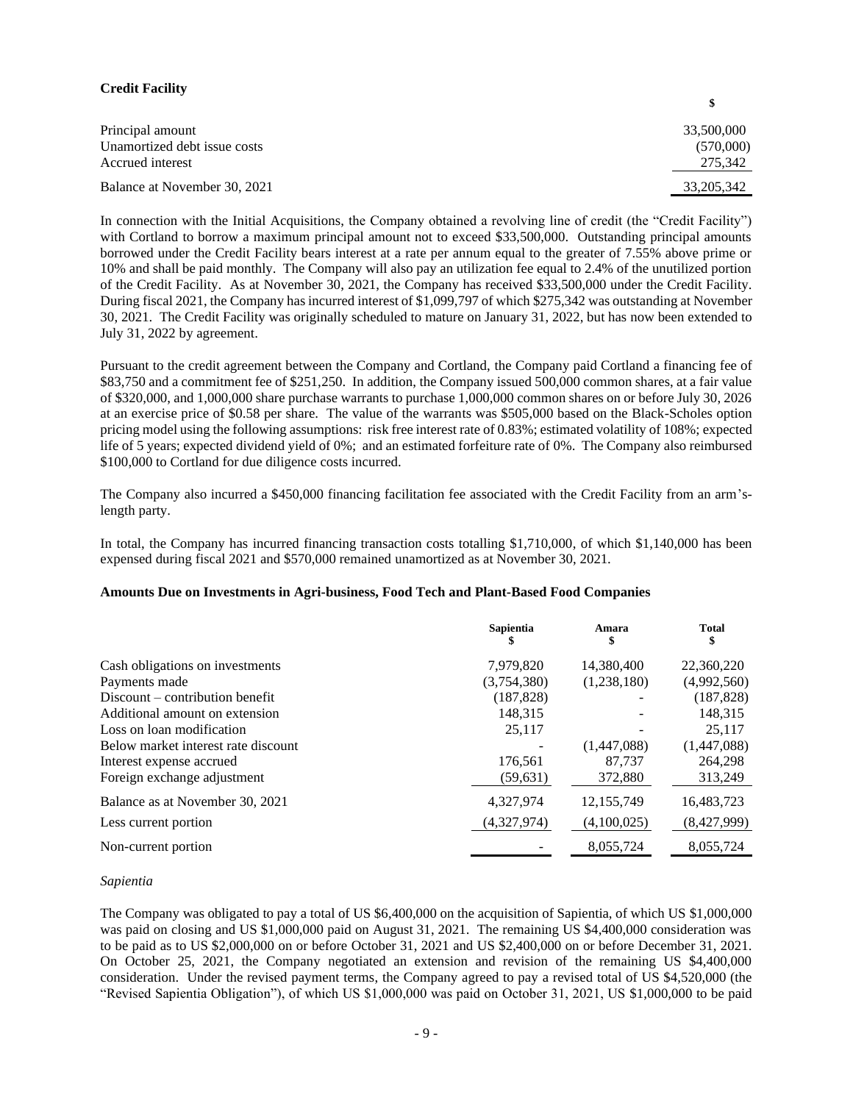# **Credit Facility**

| Principal amount             | 33,500,000   |
|------------------------------|--------------|
| Unamortized debt issue costs | (570,000)    |
| Accrued interest             | 275,342      |
| Balance at November 30, 2021 | 33, 205, 342 |

**\$**

In connection with the Initial Acquisitions, the Company obtained a revolving line of credit (the "Credit Facility") with Cortland to borrow a maximum principal amount not to exceed \$33,500,000. Outstanding principal amounts borrowed under the Credit Facility bears interest at a rate per annum equal to the greater of 7.55% above prime or 10% and shall be paid monthly. The Company will also pay an utilization fee equal to 2.4% of the unutilized portion of the Credit Facility. As at November 30, 2021, the Company has received \$33,500,000 under the Credit Facility. During fiscal 2021, the Company has incurred interest of \$1,099,797 of which \$275,342 was outstanding at November 30, 2021. The Credit Facility was originally scheduled to mature on January 31, 2022, but has now been extended to July 31, 2022 by agreement.

Pursuant to the credit agreement between the Company and Cortland, the Company paid Cortland a financing fee of \$83,750 and a commitment fee of \$251,250. In addition, the Company issued 500,000 common shares, at a fair value of \$320,000, and 1,000,000 share purchase warrants to purchase 1,000,000 common shares on or before July 30, 2026 at an exercise price of \$0.58 per share. The value of the warrants was \$505,000 based on the Black-Scholes option pricing model using the following assumptions: risk free interest rate of 0.83%; estimated volatility of 108%; expected life of 5 years; expected dividend yield of 0%; and an estimated forfeiture rate of 0%. The Company also reimbursed \$100,000 to Cortland for due diligence costs incurred.

The Company also incurred a \$450,000 financing facilitation fee associated with the Credit Facility from an arm'slength party.

In total, the Company has incurred financing transaction costs totalling \$1,710,000, of which \$1,140,000 has been expensed during fiscal 2021 and \$570,000 remained unamortized as at November 30, 2021.

#### **Amounts Due on Investments in Agri-business, Food Tech and Plant-Based Food Companies**

|                                     | Sapientia   | Amara<br>S   | Total       |
|-------------------------------------|-------------|--------------|-------------|
| Cash obligations on investments     | 7,979,820   | 14,380,400   | 22,360,220  |
| Payments made                       | (3,754,380) | (1,238,180)  | (4,992,560) |
| $Discount$ – contribution benefit   | (187, 828)  |              | (187, 828)  |
| Additional amount on extension      | 148,315     |              | 148,315     |
| Loss on loan modification           | 25,117      |              | 25,117      |
| Below market interest rate discount |             | (1,447,088)  | (1,447,088) |
| Interest expense accrued            | 176,561     | 87.737       | 264,298     |
| Foreign exchange adjustment         | (59, 631)   | 372,880      | 313,249     |
| Balance as at November 30, 2021     | 4,327,974   | 12, 155, 749 | 16,483,723  |
| Less current portion                | (4,327,974) | (4,100,025)  | (8,427,999) |
| Non-current portion                 |             | 8,055,724    | 8,055,724   |

#### *Sapientia*

The Company was obligated to pay a total of US \$6,400,000 on the acquisition of Sapientia, of which US \$1,000,000 was paid on closing and US \$1,000,000 paid on August 31, 2021. The remaining US \$4,400,000 consideration was to be paid as to US \$2,000,000 on or before October 31, 2021 and US \$2,400,000 on or before December 31, 2021. On October 25, 2021, the Company negotiated an extension and revision of the remaining US \$4,400,000 consideration. Under the revised payment terms, the Company agreed to pay a revised total of US \$4,520,000 (the "Revised Sapientia Obligation"), of which US \$1,000,000 was paid on October 31, 2021, US \$1,000,000 to be paid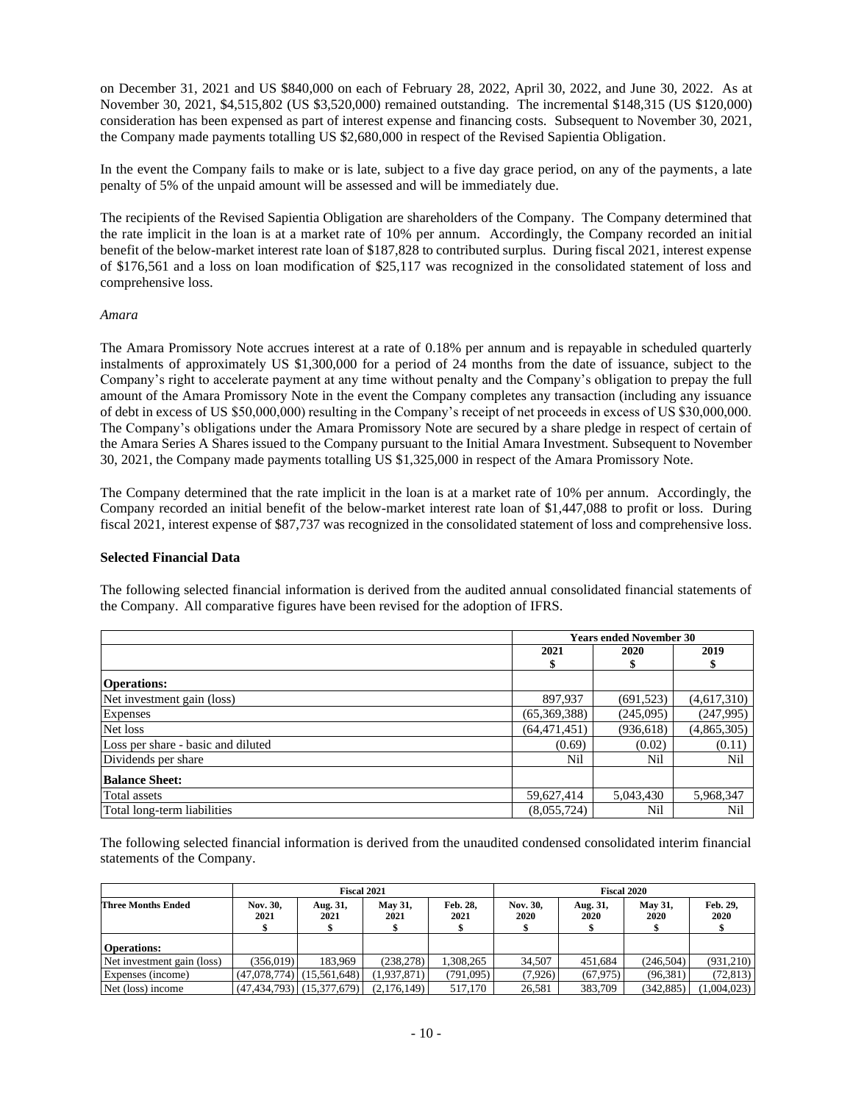on December 31, 2021 and US \$840,000 on each of February 28, 2022, April 30, 2022, and June 30, 2022. As at November 30, 2021, \$4,515,802 (US \$3,520,000) remained outstanding. The incremental \$148,315 (US \$120,000) consideration has been expensed as part of interest expense and financing costs. Subsequent to November 30, 2021, the Company made payments totalling US \$2,680,000 in respect of the Revised Sapientia Obligation.

In the event the Company fails to make or is late, subject to a five day grace period, on any of the payments, a late penalty of 5% of the unpaid amount will be assessed and will be immediately due.

The recipients of the Revised Sapientia Obligation are shareholders of the Company. The Company determined that the rate implicit in the loan is at a market rate of 10% per annum. Accordingly, the Company recorded an initial benefit of the below-market interest rate loan of \$187,828 to contributed surplus. During fiscal 2021, interest expense of \$176,561 and a loss on loan modification of \$25,117 was recognized in the consolidated statement of loss and comprehensive loss.

#### *Amara*

The Amara Promissory Note accrues interest at a rate of 0.18% per annum and is repayable in scheduled quarterly instalments of approximately US \$1,300,000 for a period of 24 months from the date of issuance, subject to the Company's right to accelerate payment at any time without penalty and the Company's obligation to prepay the full amount of the Amara Promissory Note in the event the Company completes any transaction (including any issuance of debt in excess of US \$50,000,000) resulting in the Company's receipt of net proceeds in excess of US \$30,000,000. The Company's obligations under the Amara Promissory Note are secured by a share pledge in respect of certain of the Amara Series A Shares issued to the Company pursuant to the Initial Amara Investment. Subsequent to November 30, 2021, the Company made payments totalling US \$1,325,000 in respect of the Amara Promissory Note.

The Company determined that the rate implicit in the loan is at a market rate of 10% per annum. Accordingly, the Company recorded an initial benefit of the below-market interest rate loan of \$1,447,088 to profit or loss. During fiscal 2021, interest expense of \$87,737 was recognized in the consolidated statement of loss and comprehensive loss.

#### **Selected Financial Data**

The following selected financial information is derived from the audited annual consolidated financial statements of the Company. All comparative figures have been revised for the adoption of IFRS.

|                                    |                | <b>Years ended November 30</b> |             |  |  |
|------------------------------------|----------------|--------------------------------|-------------|--|--|
|                                    | 2021           | 2020                           | 2019        |  |  |
|                                    |                |                                |             |  |  |
| <b>Operations:</b>                 |                |                                |             |  |  |
| Net investment gain (loss)         | 897,937        | (691, 523)                     | (4,617,310) |  |  |
| Expenses                           | (65,369,388)   | (245,095)                      | (247, 995)  |  |  |
| Net loss                           | (64, 471, 451) | (936, 618)                     | (4,865,305) |  |  |
| Loss per share - basic and diluted | (0.69)         | (0.02)                         | (0.11)      |  |  |
| Dividends per share                | Nil            | Nil                            | Nil         |  |  |
| <b>Balance Sheet:</b>              |                |                                |             |  |  |
| Total assets                       | 59,627,414     | 5,043,430                      | 5,968,347   |  |  |
| Total long-term liabilities        | (8,055,724)    | Nil                            | Nil         |  |  |

The following selected financial information is derived from the unaudited condensed consolidated interim financial statements of the Company.

|                            |                  | Fiscal 2021                       |                 |                  | Fiscal 2020      |                  |                               |                  |
|----------------------------|------------------|-----------------------------------|-----------------|------------------|------------------|------------------|-------------------------------|------------------|
| <b>Three Months Ended</b>  | Nov. 30,<br>2021 | Aug. 31,<br>2021                  | May 31,<br>2021 | Feb. 28,<br>2021 | Nov. 30,<br>2020 | Aug. 31,<br>2020 | <b>May 31,</b><br><b>2020</b> | Feb. 29,<br>2020 |
| <b>Operations:</b>         |                  |                                   |                 |                  |                  |                  |                               |                  |
| Net investment gain (loss) | (356.019)        | 183.969                           | (238, 278)      | 1.308.265        | 34.507           | 451.684          | (246, 504)                    | (931,210)        |
| Expenses (income)          |                  | $(47,078,774)$ $(15,561,648)$     | (1.937.871)     | (791.095)        | (7,926)          | (67, 975)        | (96, 381)                     | (72, 813)        |
| Net (loss) income          |                  | $(47, 434, 793)$ $(15, 377, 679)$ | (2.176.149)     | 517,170          | 26.581           | 383,709          | (342.885)                     | (1,004,023)      |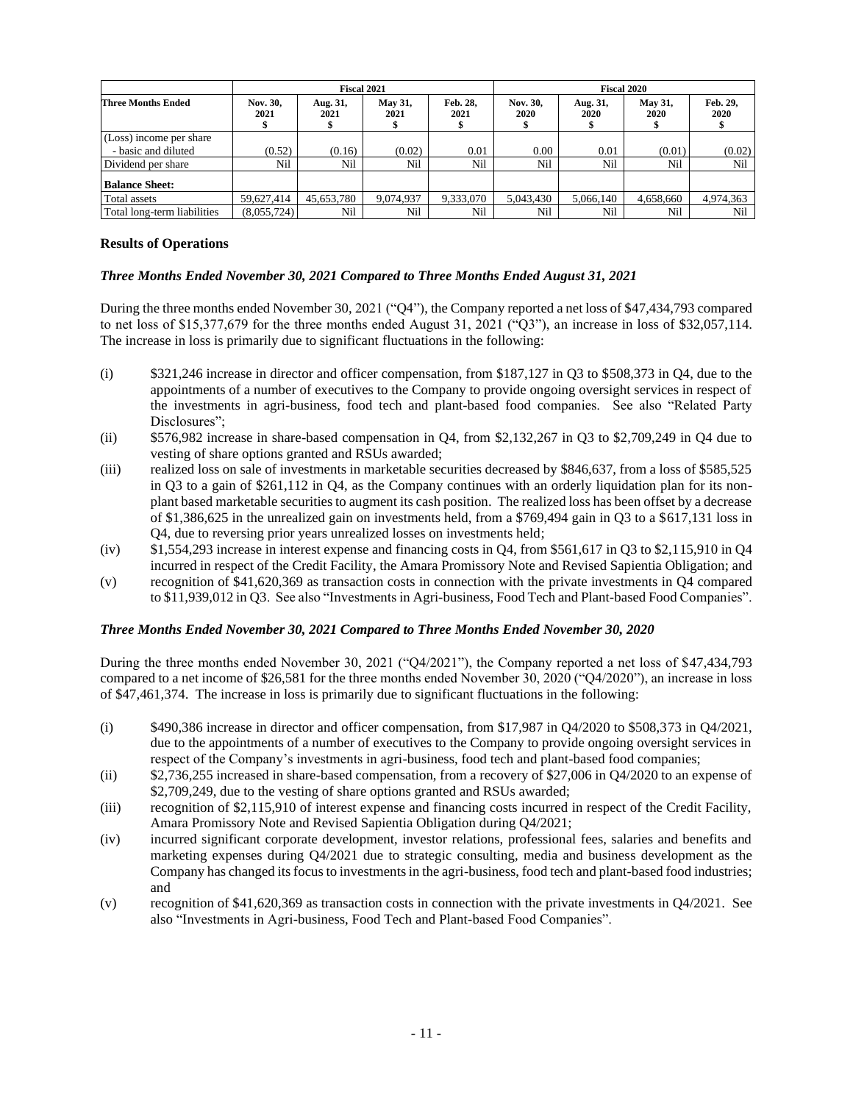|                             | Fiscal 2021      |                  |                 | <b>Fiscal 2020</b> |                  |                  |                        |                  |
|-----------------------------|------------------|------------------|-----------------|--------------------|------------------|------------------|------------------------|------------------|
| <b>Three Months Ended</b>   | Nov. 30,<br>2021 | Aug. 31,<br>2021 | May 31,<br>2021 | Feb. 28,<br>2021   | Nov. 30,<br>2020 | Aug. 31,<br>2020 | <b>May 31,</b><br>2020 | Feb. 29,<br>2020 |
| (Loss) income per share     |                  |                  |                 |                    |                  |                  |                        |                  |
| - basic and diluted         | (0.52)           | (0.16)           | (0.02)          | 0.01               | 0.00             | 0.01             | (0.01)                 | (0.02)           |
| Dividend per share          | Nil              | Nil              | Nil             | Nil                | Nil              | Nil              | Nil                    | Nil              |
| <b>Balance Sheet:</b>       |                  |                  |                 |                    |                  |                  |                        |                  |
| Total assets                | 59,627,414       | 45,653,780       | 9.074.937       | 9,333,070          | 5,043,430        | 5.066.140        | 4,658,660              | 4,974,363        |
| Total long-term liabilities | (8,055,724)      | Nil              | Nil             | Nil                | Nil              | Nil              | Nil                    | Nil              |

# **Results of Operations**

# *Three Months Ended November 30, 2021 Compared to Three Months Ended August 31, 2021*

During the three months ended November 30, 2021 ("Q4"), the Company reported a net loss of \$47,434,793 compared to net loss of \$15,377,679 for the three months ended August 31, 2021 ("Q3"), an increase in loss of \$32,057,114. The increase in loss is primarily due to significant fluctuations in the following:

- (i) \$321,246 increase in director and officer compensation, from \$187,127 in Q3 to \$508,373 in Q4, due to the appointments of a number of executives to the Company to provide ongoing oversight services in respect of the investments in agri-business, food tech and plant-based food companies. See also "Related Party Disclosures";
- (ii) \$576,982 increase in share-based compensation in Q4, from \$2,132,267 in Q3 to \$2,709,249 in Q4 due to vesting of share options granted and RSUs awarded;
- (iii) realized loss on sale of investments in marketable securities decreased by \$846,637, from a loss of \$585,525 in Q3 to a gain of \$261,112 in Q4, as the Company continues with an orderly liquidation plan for its nonplant based marketable securities to augment its cash position. The realized loss has been offset by a decrease of \$1,386,625 in the unrealized gain on investments held, from a \$769,494 gain in Q3 to a \$617,131 loss in Q4, due to reversing prior years unrealized losses on investments held;
- (iv) \$1,554,293 increase in interest expense and financing costs in Q4, from \$561,617 in Q3 to \$2,115,910 in Q4 incurred in respect of the Credit Facility, the Amara Promissory Note and Revised Sapientia Obligation; and
- (v) recognition of \$41,620,369 as transaction costs in connection with the private investments in Q4 compared to \$11,939,012 in Q3. See also "Investments in Agri-business, Food Tech and Plant-based Food Companies".

# *Three Months Ended November 30, 2021 Compared to Three Months Ended November 30, 2020*

During the three months ended November 30, 2021 ("Q4/2021"), the Company reported a net loss of \$47,434,793 compared to a net income of \$26,581 for the three months ended November 30, 2020 ("Q4/2020"), an increase in loss of \$47,461,374. The increase in loss is primarily due to significant fluctuations in the following:

- (i)  $$490,386$  increase in director and officer compensation, from \$17,987 in Q4/2020 to \$508,373 in Q4/2021, due to the appointments of a number of executives to the Company to provide ongoing oversight services in respect of the Company's investments in agri-business, food tech and plant-based food companies;
- (ii) \$2,736,255 increased in share-based compensation, from a recovery of \$27,006 in Q4/2020 to an expense of \$2,709,249, due to the vesting of share options granted and RSUs awarded;
- (iii) recognition of \$2,115,910 of interest expense and financing costs incurred in respect of the Credit Facility, Amara Promissory Note and Revised Sapientia Obligation during Q4/2021;
- (iv) incurred significant corporate development, investor relations, professional fees, salaries and benefits and marketing expenses during Q4/2021 due to strategic consulting, media and business development as the Company has changed its focus to investments in the agri-business, food tech and plant-based food industries; and
- (v) recognition of \$41,620,369 as transaction costs in connection with the private investments in Q4/2021. See also "Investments in Agri-business, Food Tech and Plant-based Food Companies".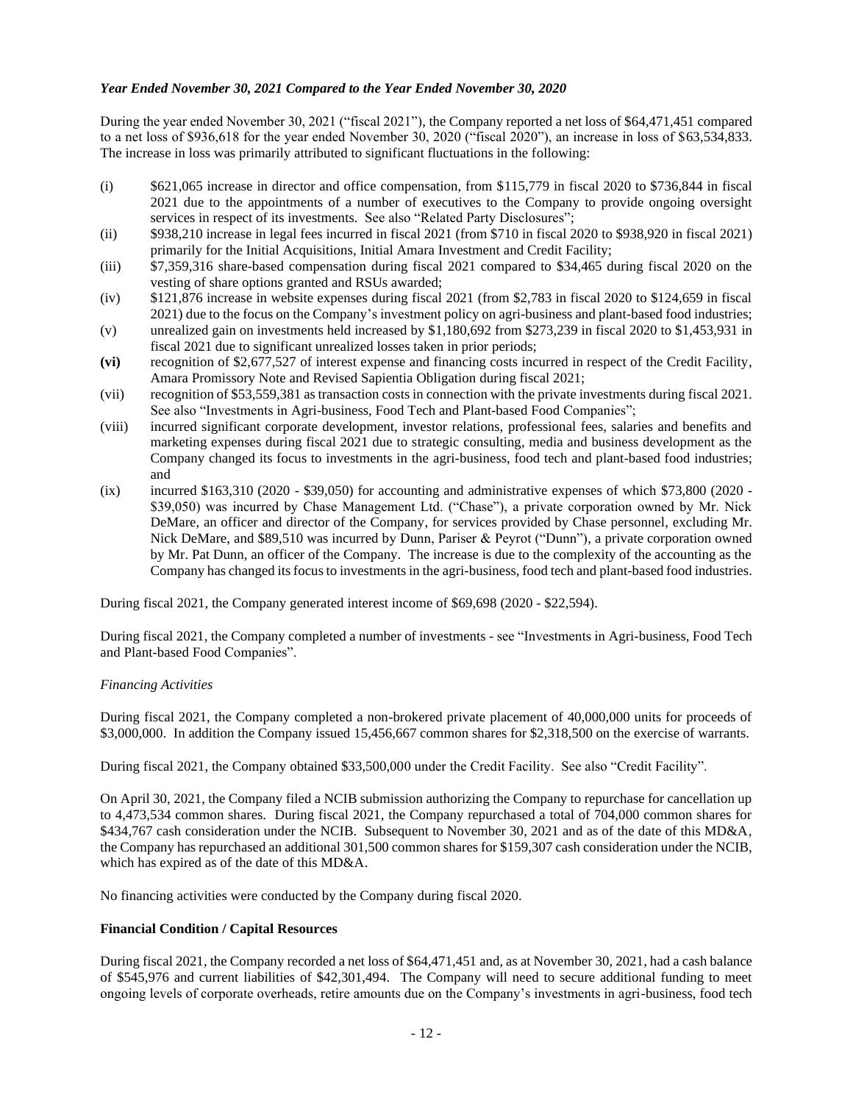# *Year Ended November 30, 2021 Compared to the Year Ended November 30, 2020*

During the year ended November 30, 2021 ("fiscal 2021"), the Company reported a net loss of \$64,471,451 compared to a net loss of \$936,618 for the year ended November 30, 2020 ("fiscal 2020"), an increase in loss of \$63,534,833. The increase in loss was primarily attributed to significant fluctuations in the following:

- (i) \$621,065 increase in director and office compensation, from \$115,779 in fiscal 2020 to \$736,844 in fiscal 2021 due to the appointments of a number of executives to the Company to provide ongoing oversight services in respect of its investments. See also "Related Party Disclosures";
- (ii) \$938,210 increase in legal fees incurred in fiscal 2021 (from \$710 in fiscal 2020 to \$938,920 in fiscal 2021) primarily for the Initial Acquisitions, Initial Amara Investment and Credit Facility;
- (iii) \$7,359,316 share-based compensation during fiscal 2021 compared to \$34,465 during fiscal 2020 on the vesting of share options granted and RSUs awarded;
- (iv) \$121,876 increase in website expenses during fiscal 2021 (from \$2,783 in fiscal 2020 to \$124,659 in fiscal 2021) due to the focus on the Company's investment policy on agri-business and plant-based food industries;
- (v) unrealized gain on investments held increased by \$1,180,692 from \$273,239 in fiscal 2020 to \$1,453,931 in fiscal 2021 due to significant unrealized losses taken in prior periods;
- **(vi)** recognition of \$2,677,527 of interest expense and financing costs incurred in respect of the Credit Facility, Amara Promissory Note and Revised Sapientia Obligation during fiscal 2021;
- (vii) recognition of \$53,559,381 as transaction costs in connection with the private investments during fiscal 2021. See also "Investments in Agri-business, Food Tech and Plant-based Food Companies";
- (viii) incurred significant corporate development, investor relations, professional fees, salaries and benefits and marketing expenses during fiscal 2021 due to strategic consulting, media and business development as the Company changed its focus to investments in the agri-business, food tech and plant-based food industries; and
- (ix) incurred \$163,310 (2020 \$39,050) for accounting and administrative expenses of which \$73,800 (2020 \$39,050) was incurred by Chase Management Ltd. ("Chase"), a private corporation owned by Mr. Nick DeMare, an officer and director of the Company, for services provided by Chase personnel, excluding Mr. Nick DeMare, and \$89,510 was incurred by Dunn, Pariser & Peyrot ("Dunn"), a private corporation owned by Mr. Pat Dunn, an officer of the Company. The increase is due to the complexity of the accounting as the Company has changed its focus to investments in the agri-business, food tech and plant-based food industries.

During fiscal 2021, the Company generated interest income of \$69,698 (2020 - \$22,594).

During fiscal 2021, the Company completed a number of investments - see "Investments in Agri-business, Food Tech and Plant-based Food Companies".

#### *Financing Activities*

During fiscal 2021, the Company completed a non-brokered private placement of 40,000,000 units for proceeds of \$3,000,000. In addition the Company issued 15,456,667 common shares for \$2,318,500 on the exercise of warrants.

During fiscal 2021, the Company obtained \$33,500,000 under the Credit Facility. See also "Credit Facility".

On April 30, 2021, the Company filed a NCIB submission authorizing the Company to repurchase for cancellation up to 4,473,534 common shares. During fiscal 2021, the Company repurchased a total of 704,000 common shares for \$434,767 cash consideration under the NCIB. Subsequent to November 30, 2021 and as of the date of this MD&A, the Company has repurchased an additional 301,500 common shares for \$159,307 cash consideration under the NCIB, which has expired as of the date of this MD&A.

No financing activities were conducted by the Company during fiscal 2020.

# **Financial Condition / Capital Resources**

During fiscal 2021, the Company recorded a net loss of \$64,471,451 and, as at November 30, 2021, had a cash balance of \$545,976 and current liabilities of \$42,301,494. The Company will need to secure additional funding to meet ongoing levels of corporate overheads, retire amounts due on the Company's investments in agri-business, food tech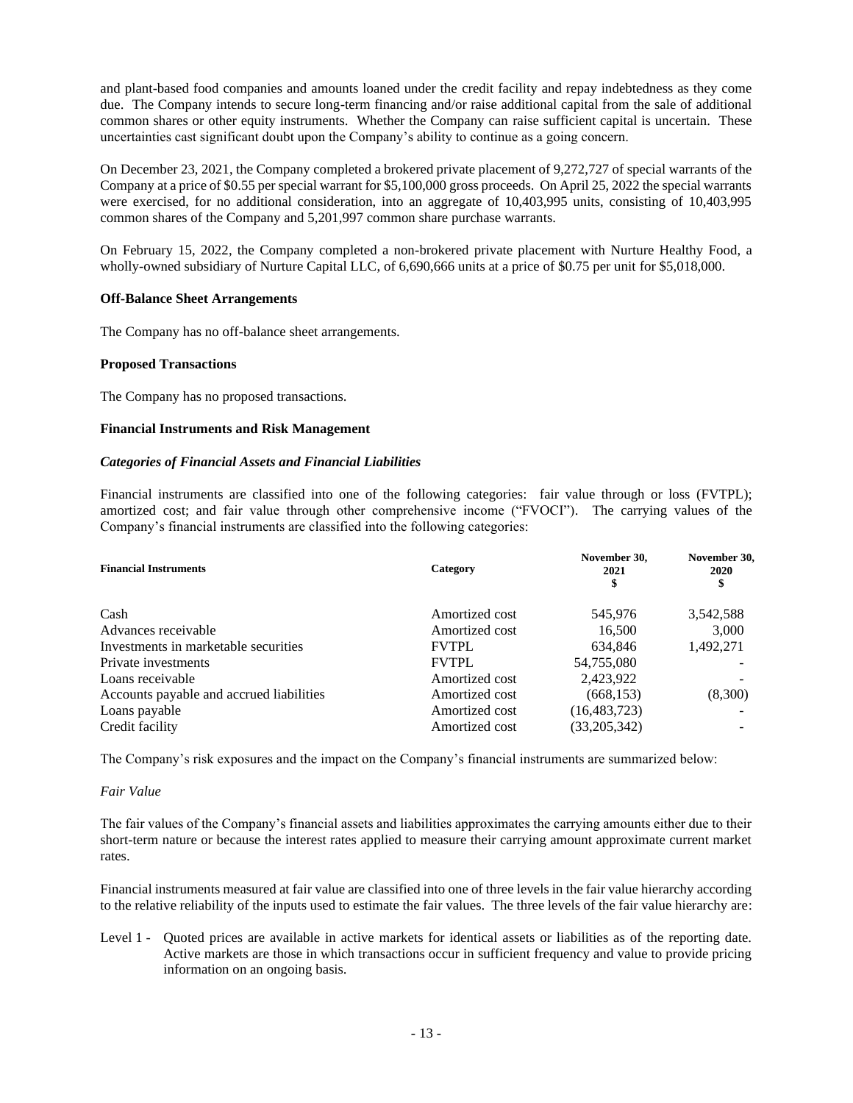and plant-based food companies and amounts loaned under the credit facility and repay indebtedness as they come due. The Company intends to secure long-term financing and/or raise additional capital from the sale of additional common shares or other equity instruments. Whether the Company can raise sufficient capital is uncertain. These uncertainties cast significant doubt upon the Company's ability to continue as a going concern.

On December 23, 2021, the Company completed a brokered private placement of 9,272,727 of special warrants of the Company at a price of \$0.55 per special warrant for \$5,100,000 gross proceeds. On April 25, 2022 the special warrants were exercised, for no additional consideration, into an aggregate of 10,403,995 units, consisting of 10,403,995 common shares of the Company and 5,201,997 common share purchase warrants.

On February 15, 2022, the Company completed a non-brokered private placement with Nurture Healthy Food, a wholly-owned subsidiary of Nurture Capital LLC, of 6,690,666 units at a price of \$0.75 per unit for \$5,018,000.

# **Off-Balance Sheet Arrangements**

The Company has no off-balance sheet arrangements.

# **Proposed Transactions**

The Company has no proposed transactions.

# **Financial Instruments and Risk Management**

#### *Categories of Financial Assets and Financial Liabilities*

Financial instruments are classified into one of the following categories: fair value through or loss (FVTPL); amortized cost; and fair value through other comprehensive income ("FVOCI"). The carrying values of the Company's financial instruments are classified into the following categories:

| <b>Financial Instruments</b>             | Category       | November 30,<br>2021 | November 30.<br>2020 |  |
|------------------------------------------|----------------|----------------------|----------------------|--|
| Cash                                     | Amortized cost | 545,976              | 3,542,588            |  |
| Advances receivable                      | Amortized cost | 16,500               | 3,000                |  |
| Investments in marketable securities     | <b>FVTPL</b>   | 634.846              | 1,492,271            |  |
| Private investments                      | <b>FVTPL</b>   | 54,755,080           |                      |  |
| Loans receivable                         | Amortized cost | 2,423,922            |                      |  |
| Accounts payable and accrued liabilities | Amortized cost | (668, 153)           | (8,300)              |  |
| Loans payable                            | Amortized cost | (16, 483, 723)       |                      |  |
| Credit facility                          | Amortized cost | (33,205,342)         |                      |  |
|                                          |                |                      |                      |  |

The Company's risk exposures and the impact on the Company's financial instruments are summarized below:

#### *Fair Value*

The fair values of the Company's financial assets and liabilities approximates the carrying amounts either due to their short-term nature or because the interest rates applied to measure their carrying amount approximate current market rates.

Financial instruments measured at fair value are classified into one of three levels in the fair value hierarchy according to the relative reliability of the inputs used to estimate the fair values. The three levels of the fair value hierarchy are:

Level 1 - Quoted prices are available in active markets for identical assets or liabilities as of the reporting date. Active markets are those in which transactions occur in sufficient frequency and value to provide pricing information on an ongoing basis.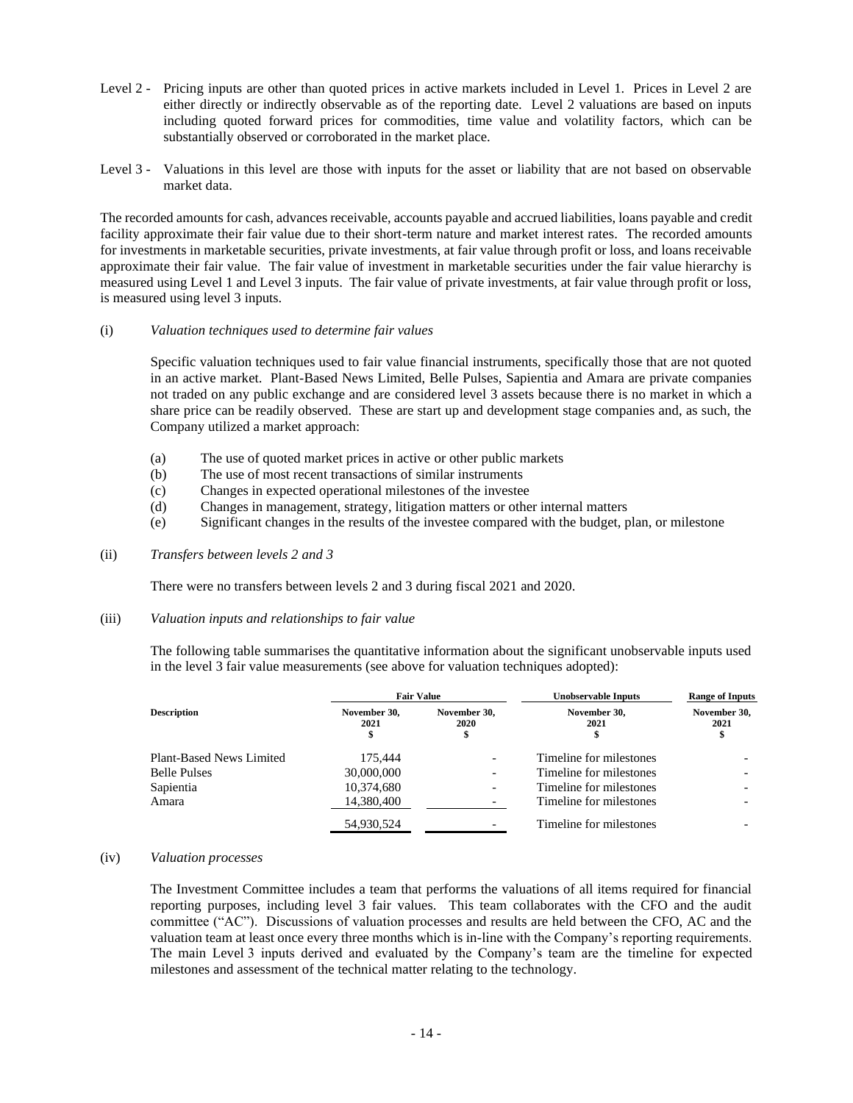- Level 2 Pricing inputs are other than quoted prices in active markets included in Level 1. Prices in Level 2 are either directly or indirectly observable as of the reporting date. Level 2 valuations are based on inputs including quoted forward prices for commodities, time value and volatility factors, which can be substantially observed or corroborated in the market place.
- Level 3 Valuations in this level are those with inputs for the asset or liability that are not based on observable market data.

The recorded amounts for cash, advances receivable, accounts payable and accrued liabilities, loans payable and credit facility approximate their fair value due to their short-term nature and market interest rates. The recorded amounts for investments in marketable securities, private investments, at fair value through profit or loss, and loans receivable approximate their fair value. The fair value of investment in marketable securities under the fair value hierarchy is measured using Level 1 and Level 3 inputs. The fair value of private investments, at fair value through profit or loss, is measured using level 3 inputs.

#### (i) *Valuation techniques used to determine fair values*

Specific valuation techniques used to fair value financial instruments, specifically those that are not quoted in an active market. Plant-Based News Limited, Belle Pulses, Sapientia and Amara are private companies not traded on any public exchange and are considered level 3 assets because there is no market in which a share price can be readily observed. These are start up and development stage companies and, as such, the Company utilized a market approach:

- (a) The use of quoted market prices in active or other public markets
- (b) The use of most recent transactions of similar instruments
- (c) Changes in expected operational milestones of the investee
- (d) Changes in management, strategy, litigation matters or other internal matters
- (e) Significant changes in the results of the investee compared with the budget, plan, or milestone
- (ii) *Transfers between levels 2 and 3*

There were no transfers between levels 2 and 3 during fiscal 2021 and 2020.

## (iii) *Valuation inputs and relationships to fair value*

The following table summarises the quantitative information about the significant unobservable inputs used in the level 3 fair value measurements (see above for valuation techniques adopted):

|                          |                            | <b>Fair Value</b>        | <b>Unobservable Inputs</b> | <b>Range of Inputs</b><br>November 30,<br>2021<br>\$ |  |
|--------------------------|----------------------------|--------------------------|----------------------------|------------------------------------------------------|--|
| <b>Description</b>       | November 30.<br>2021<br>\$ | November 30.<br>2020     | November 30.<br>2021       |                                                      |  |
| Plant-Based News Limited | 175.444                    |                          | Timeline for milestones    |                                                      |  |
| <b>Belle Pulses</b>      | 30,000,000                 | $\overline{\phantom{0}}$ | Timeline for milestones    |                                                      |  |
| Sapientia                | 10,374,680                 | -                        | Timeline for milestones    |                                                      |  |
| Amara                    | 14.380.400                 |                          | Timeline for milestones    |                                                      |  |
|                          | 54,930,524                 |                          | Timeline for milestones    |                                                      |  |

## (iv) *Valuation processes*

The Investment Committee includes a team that performs the valuations of all items required for financial reporting purposes, including level 3 fair values. This team collaborates with the CFO and the audit committee ("AC"). Discussions of valuation processes and results are held between the CFO, AC and the valuation team at least once every three months which is in-line with the Company's reporting requirements. The main Level 3 inputs derived and evaluated by the Company's team are the timeline for expected milestones and assessment of the technical matter relating to the technology.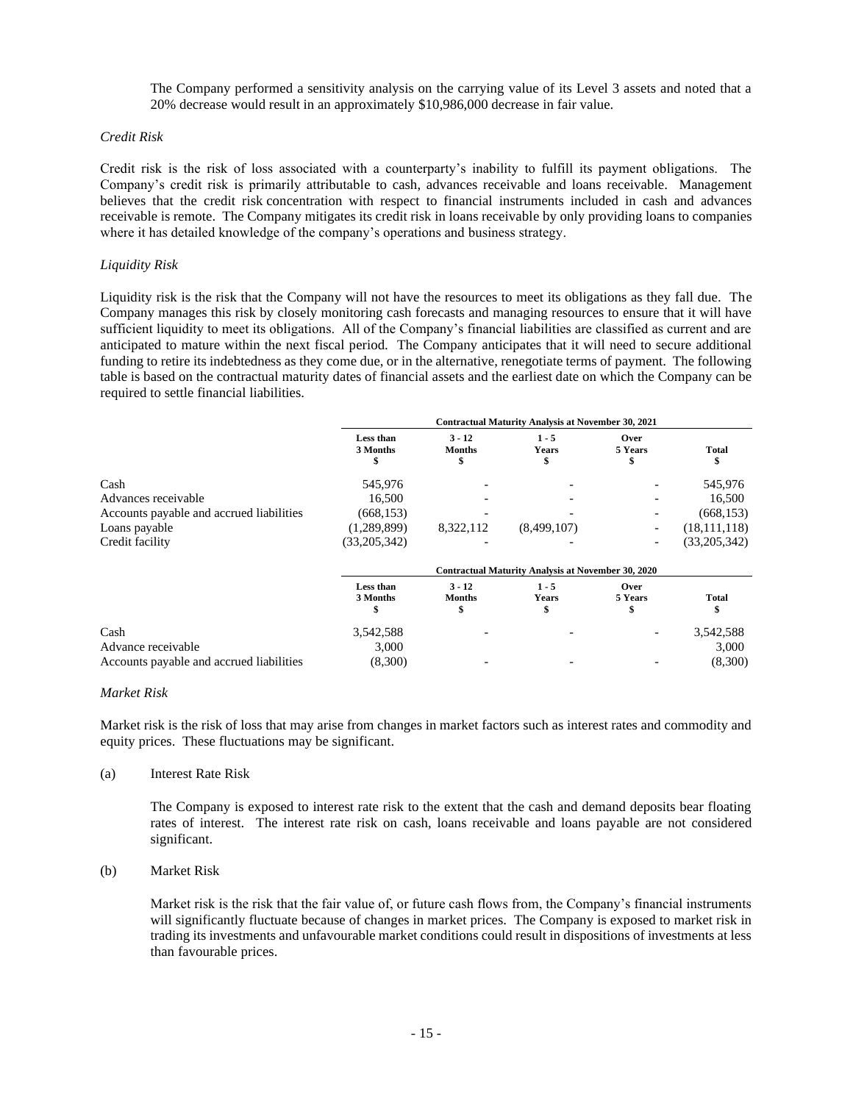The Company performed a sensitivity analysis on the carrying value of its Level 3 assets and noted that a 20% decrease would result in an approximately \$10,986,000 decrease in fair value.

#### *Credit Risk*

Credit risk is the risk of loss associated with a counterparty's inability to fulfill its payment obligations. The Company's credit risk is primarily attributable to cash, advances receivable and loans receivable. Management believes that the credit risk concentration with respect to financial instruments included in cash and advances receivable is remote. The Company mitigates its credit risk in loans receivable by only providing loans to companies where it has detailed knowledge of the company's operations and business strategy.

#### *Liquidity Risk*

Liquidity risk is the risk that the Company will not have the resources to meet its obligations as they fall due. The Company manages this risk by closely monitoring cash forecasts and managing resources to ensure that it will have sufficient liquidity to meet its obligations. All of the Company's financial liabilities are classified as current and are anticipated to mature within the next fiscal period. The Company anticipates that it will need to secure additional funding to retire its indebtedness as they come due, or in the alternative, renegotiate terms of payment. The following table is based on the contractual maturity dates of financial assets and the earliest date on which the Company can be required to settle financial liabilities.

|                                          | <b>Contractual Maturity Analysis at November 30, 2021</b> |                           |                         |                 |                |  |  |
|------------------------------------------|-----------------------------------------------------------|---------------------------|-------------------------|-----------------|----------------|--|--|
|                                          | Less than<br>3 Months                                     | $3 - 12$<br><b>Months</b> | $1 - 5$<br><b>Years</b> | Over<br>5 Years | <b>Total</b>   |  |  |
| Cash                                     | 545,976                                                   |                           |                         |                 | 545,976        |  |  |
| Advances receivable                      | 16,500                                                    |                           |                         |                 | 16,500         |  |  |
| Accounts payable and accrued liabilities | (668, 153)                                                |                           |                         |                 | (668, 153)     |  |  |
| Loans payable                            | (1,289,899)                                               | 8,322,112                 | (8,499,107)             |                 | (18, 111, 118) |  |  |
| Credit facility                          | (33,205,342)                                              |                           |                         |                 | (33,205,342)   |  |  |
|                                          | <b>Contractual Maturity Analysis at November 30, 2020</b> |                           |                         |                 |                |  |  |
|                                          | Less than<br>3 Months                                     | $3 - 12$<br><b>Months</b> | $1 - 5$<br><b>Years</b> | Over<br>5 Years | Total          |  |  |
| Cash                                     | 3,542,588                                                 |                           |                         |                 | 3,542,588      |  |  |
| Advance receivable                       | 3,000                                                     |                           |                         |                 | 3,000          |  |  |
| Accounts payable and accrued liabilities | (8,300)                                                   |                           |                         |                 | (8,300)        |  |  |

#### *Market Risk*

Market risk is the risk of loss that may arise from changes in market factors such as interest rates and commodity and equity prices. These fluctuations may be significant.

#### (a) Interest Rate Risk

The Company is exposed to interest rate risk to the extent that the cash and demand deposits bear floating rates of interest. The interest rate risk on cash, loans receivable and loans payable are not considered significant.

#### (b) Market Risk

Market risk is the risk that the fair value of, or future cash flows from, the Company's financial instruments will significantly fluctuate because of changes in market prices. The Company is exposed to market risk in trading its investments and unfavourable market conditions could result in dispositions of investments at less than favourable prices.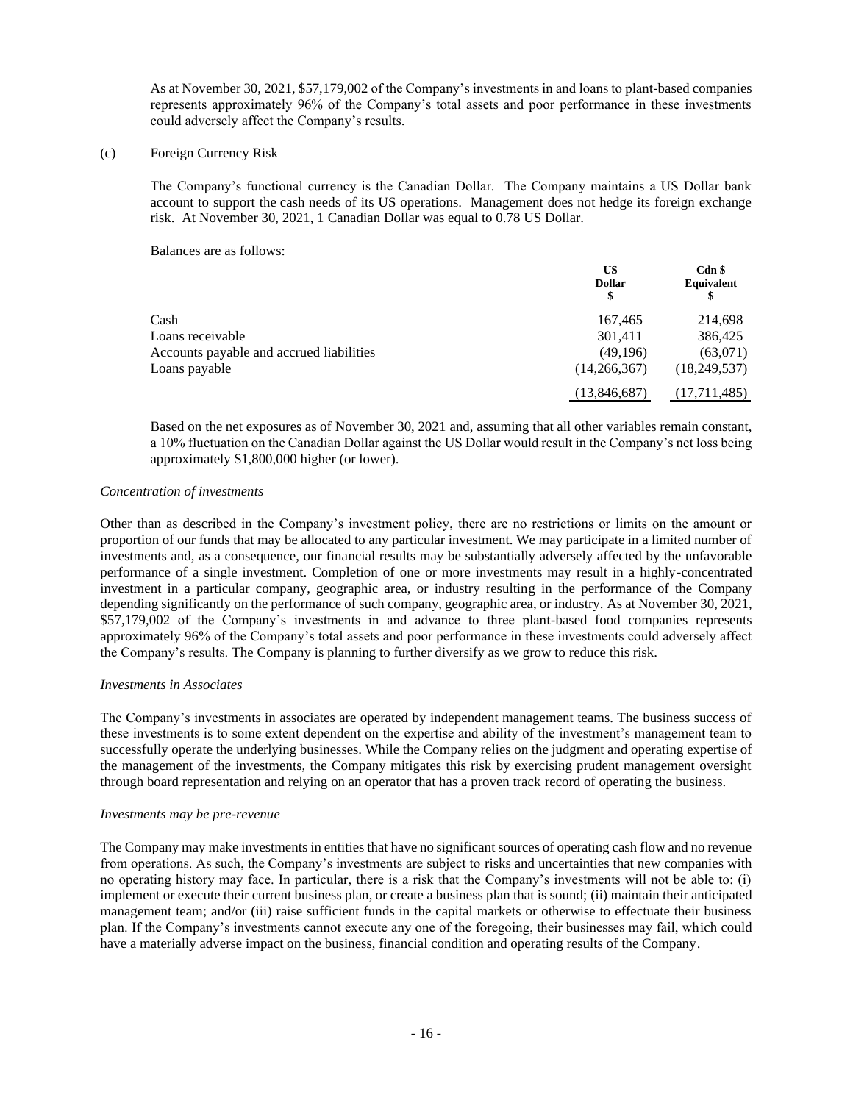As at November 30, 2021, \$57,179,002 of the Company's investments in and loans to plant-based companies represents approximately 96% of the Company's total assets and poor performance in these investments could adversely affect the Company's results.

## (c) Foreign Currency Risk

The Company's functional currency is the Canadian Dollar. The Company maintains a US Dollar bank account to support the cash needs of its US operations. Management does not hedge its foreign exchange risk. At November 30, 2021, 1 Canadian Dollar was equal to 0.78 US Dollar.

Balances are as follows:

|                                          | US<br><b>Dollar</b><br>\$ | $Cdn$ \$<br>Equivalent |
|------------------------------------------|---------------------------|------------------------|
| Cash                                     | 167,465                   | 214,698                |
| Loans receivable                         | 301,411                   | 386,425                |
| Accounts payable and accrued liabilities | (49,196)                  | (63,071)               |
| Loans payable                            | (14,266,367)              | (18, 249, 537)         |
|                                          | (13,846,687)              | (17,711,485)           |

Based on the net exposures as of November 30, 2021 and, assuming that all other variables remain constant, a 10% fluctuation on the Canadian Dollar against the US Dollar would result in the Company's net loss being approximately \$1,800,000 higher (or lower).

#### *Concentration of investments*

Other than as described in the Company's investment policy, there are no restrictions or limits on the amount or proportion of our funds that may be allocated to any particular investment. We may participate in a limited number of investments and, as a consequence, our financial results may be substantially adversely affected by the unfavorable performance of a single investment. Completion of one or more investments may result in a highly-concentrated investment in a particular company, geographic area, or industry resulting in the performance of the Company depending significantly on the performance of such company, geographic area, or industry. As at November 30, 2021, \$57,179,002 of the Company's investments in and advance to three plant-based food companies represents approximately 96% of the Company's total assets and poor performance in these investments could adversely affect the Company's results. The Company is planning to further diversify as we grow to reduce this risk.

#### *Investments in Associates*

The Company's investments in associates are operated by independent management teams. The business success of these investments is to some extent dependent on the expertise and ability of the investment's management team to successfully operate the underlying businesses. While the Company relies on the judgment and operating expertise of the management of the investments, the Company mitigates this risk by exercising prudent management oversight through board representation and relying on an operator that has a proven track record of operating the business.

#### *Investments may be pre-revenue*

The Company may make investments in entities that have no significant sources of operating cash flow and no revenue from operations. As such, the Company's investments are subject to risks and uncertainties that new companies with no operating history may face. In particular, there is a risk that the Company's investments will not be able to: (i) implement or execute their current business plan, or create a business plan that is sound; (ii) maintain their anticipated management team; and/or (iii) raise sufficient funds in the capital markets or otherwise to effectuate their business plan. If the Company's investments cannot execute any one of the foregoing, their businesses may fail, which could have a materially adverse impact on the business, financial condition and operating results of the Company.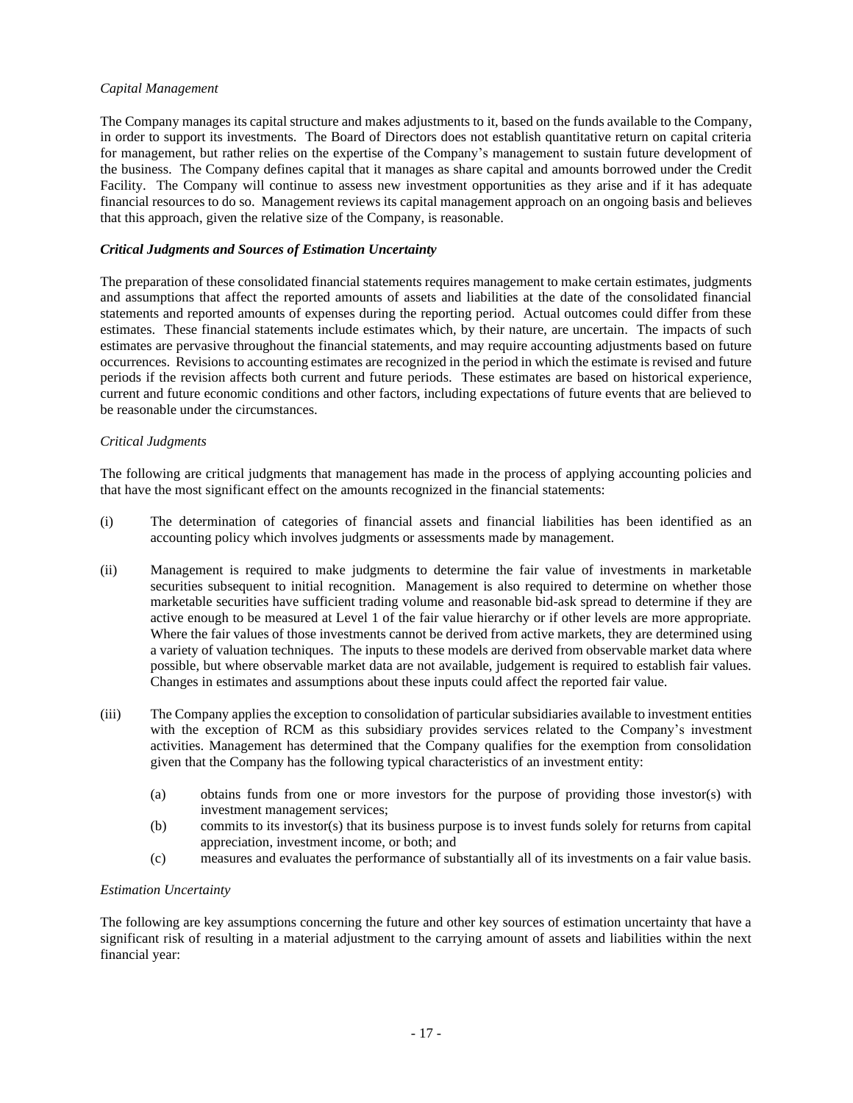# *Capital Management*

The Company manages its capital structure and makes adjustments to it, based on the funds available to the Company, in order to support its investments. The Board of Directors does not establish quantitative return on capital criteria for management, but rather relies on the expertise of the Company's management to sustain future development of the business. The Company defines capital that it manages as share capital and amounts borrowed under the Credit Facility. The Company will continue to assess new investment opportunities as they arise and if it has adequate financial resources to do so. Management reviews its capital management approach on an ongoing basis and believes that this approach, given the relative size of the Company, is reasonable.

# *Critical Judgments and Sources of Estimation Uncertainty*

The preparation of these consolidated financial statements requires management to make certain estimates, judgments and assumptions that affect the reported amounts of assets and liabilities at the date of the consolidated financial statements and reported amounts of expenses during the reporting period. Actual outcomes could differ from these estimates. These financial statements include estimates which, by their nature, are uncertain. The impacts of such estimates are pervasive throughout the financial statements, and may require accounting adjustments based on future occurrences. Revisions to accounting estimates are recognized in the period in which the estimate is revised and future periods if the revision affects both current and future periods. These estimates are based on historical experience, current and future economic conditions and other factors, including expectations of future events that are believed to be reasonable under the circumstances.

#### *Critical Judgments*

The following are critical judgments that management has made in the process of applying accounting policies and that have the most significant effect on the amounts recognized in the financial statements:

- (i) The determination of categories of financial assets and financial liabilities has been identified as an accounting policy which involves judgments or assessments made by management.
- (ii) Management is required to make judgments to determine the fair value of investments in marketable securities subsequent to initial recognition. Management is also required to determine on whether those marketable securities have sufficient trading volume and reasonable bid-ask spread to determine if they are active enough to be measured at Level 1 of the fair value hierarchy or if other levels are more appropriate. Where the fair values of those investments cannot be derived from active markets, they are determined using a variety of valuation techniques. The inputs to these models are derived from observable market data where possible, but where observable market data are not available, judgement is required to establish fair values. Changes in estimates and assumptions about these inputs could affect the reported fair value.
- (iii) The Company applies the exception to consolidation of particular subsidiaries available to investment entities with the exception of RCM as this subsidiary provides services related to the Company's investment activities. Management has determined that the Company qualifies for the exemption from consolidation given that the Company has the following typical characteristics of an investment entity:
	- (a) obtains funds from one or more investors for the purpose of providing those investor(s) with investment management services;
	- (b) commits to its investor(s) that its business purpose is to invest funds solely for returns from capital appreciation, investment income, or both; and
	- (c) measures and evaluates the performance of substantially all of its investments on a fair value basis.

#### *Estimation Uncertainty*

The following are key assumptions concerning the future and other key sources of estimation uncertainty that have a significant risk of resulting in a material adjustment to the carrying amount of assets and liabilities within the next financial year: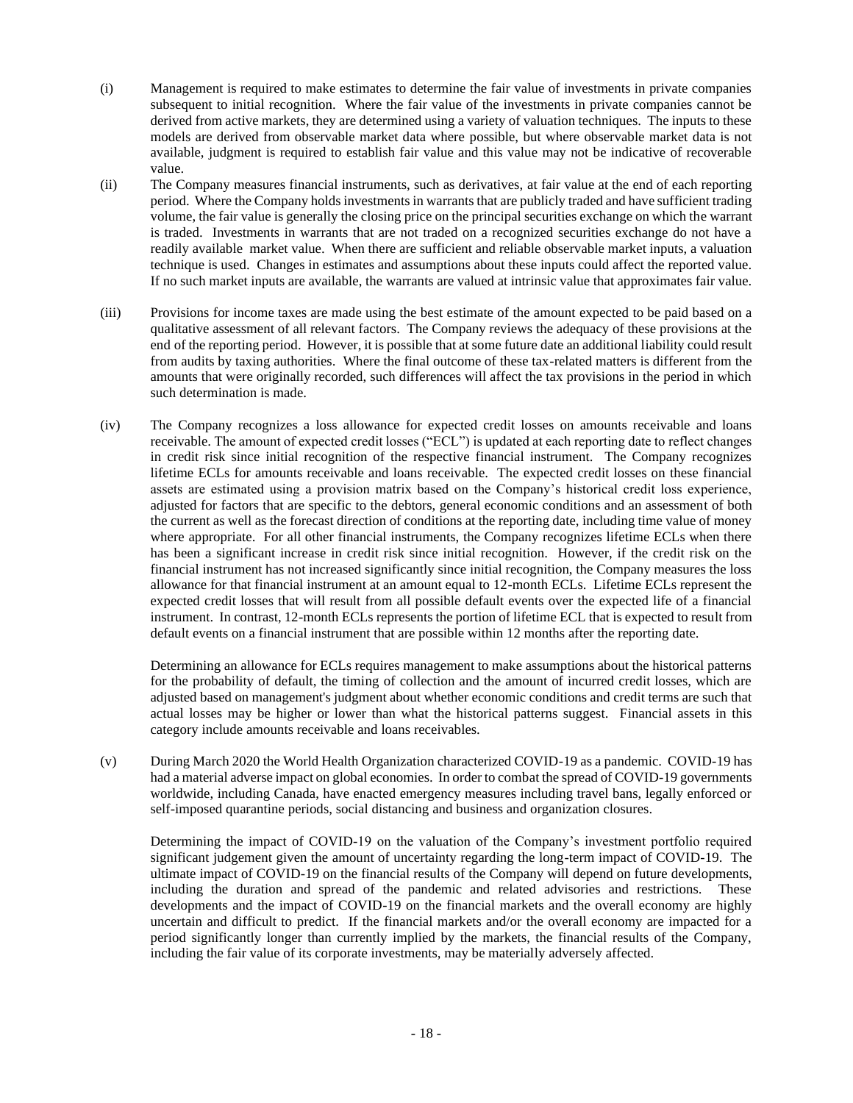- (i) Management is required to make estimates to determine the fair value of investments in private companies subsequent to initial recognition. Where the fair value of the investments in private companies cannot be derived from active markets, they are determined using a variety of valuation techniques. The inputs to these models are derived from observable market data where possible, but where observable market data is not available, judgment is required to establish fair value and this value may not be indicative of recoverable value.
- (ii) The Company measures financial instruments, such as derivatives, at fair value at the end of each reporting period. Where the Company holds investments in warrants that are publicly traded and have sufficient trading volume, the fair value is generally the closing price on the principal securities exchange on which the warrant is traded. Investments in warrants that are not traded on a recognized securities exchange do not have a readily available market value. When there are sufficient and reliable observable market inputs, a valuation technique is used. Changes in estimates and assumptions about these inputs could affect the reported value. If no such market inputs are available, the warrants are valued at intrinsic value that approximates fair value.
- (iii) Provisions for income taxes are made using the best estimate of the amount expected to be paid based on a qualitative assessment of all relevant factors. The Company reviews the adequacy of these provisions at the end of the reporting period. However, it is possible that at some future date an additional liability could result from audits by taxing authorities. Where the final outcome of these tax-related matters is different from the amounts that were originally recorded, such differences will affect the tax provisions in the period in which such determination is made.
- (iv) The Company recognizes a loss allowance for expected credit losses on amounts receivable and loans receivable. The amount of expected credit losses ("ECL") is updated at each reporting date to reflect changes in credit risk since initial recognition of the respective financial instrument. The Company recognizes lifetime ECLs for amounts receivable and loans receivable. The expected credit losses on these financial assets are estimated using a provision matrix based on the Company's historical credit loss experience, adjusted for factors that are specific to the debtors, general economic conditions and an assessment of both the current as well as the forecast direction of conditions at the reporting date, including time value of money where appropriate. For all other financial instruments, the Company recognizes lifetime ECLs when there has been a significant increase in credit risk since initial recognition. However, if the credit risk on the financial instrument has not increased significantly since initial recognition, the Company measures the loss allowance for that financial instrument at an amount equal to 12-month ECLs. Lifetime ECLs represent the expected credit losses that will result from all possible default events over the expected life of a financial instrument. In contrast, 12-month ECLs represents the portion of lifetime ECL that is expected to result from default events on a financial instrument that are possible within 12 months after the reporting date.

Determining an allowance for ECLs requires management to make assumptions about the historical patterns for the probability of default, the timing of collection and the amount of incurred credit losses, which are adjusted based on management's judgment about whether economic conditions and credit terms are such that actual losses may be higher or lower than what the historical patterns suggest. Financial assets in this category include amounts receivable and loans receivables.

(v) During March 2020 the World Health Organization characterized COVID-19 as a pandemic. COVID-19 has had a material adverse impact on global economies. In order to combat the spread of COVID-19 governments worldwide, including Canada, have enacted emergency measures including travel bans, legally enforced or self-imposed quarantine periods, social distancing and business and organization closures.

Determining the impact of COVID-19 on the valuation of the Company's investment portfolio required significant judgement given the amount of uncertainty regarding the long-term impact of COVID-19. The ultimate impact of COVID-19 on the financial results of the Company will depend on future developments, including the duration and spread of the pandemic and related advisories and restrictions. These developments and the impact of COVID-19 on the financial markets and the overall economy are highly uncertain and difficult to predict. If the financial markets and/or the overall economy are impacted for a period significantly longer than currently implied by the markets, the financial results of the Company, including the fair value of its corporate investments, may be materially adversely affected.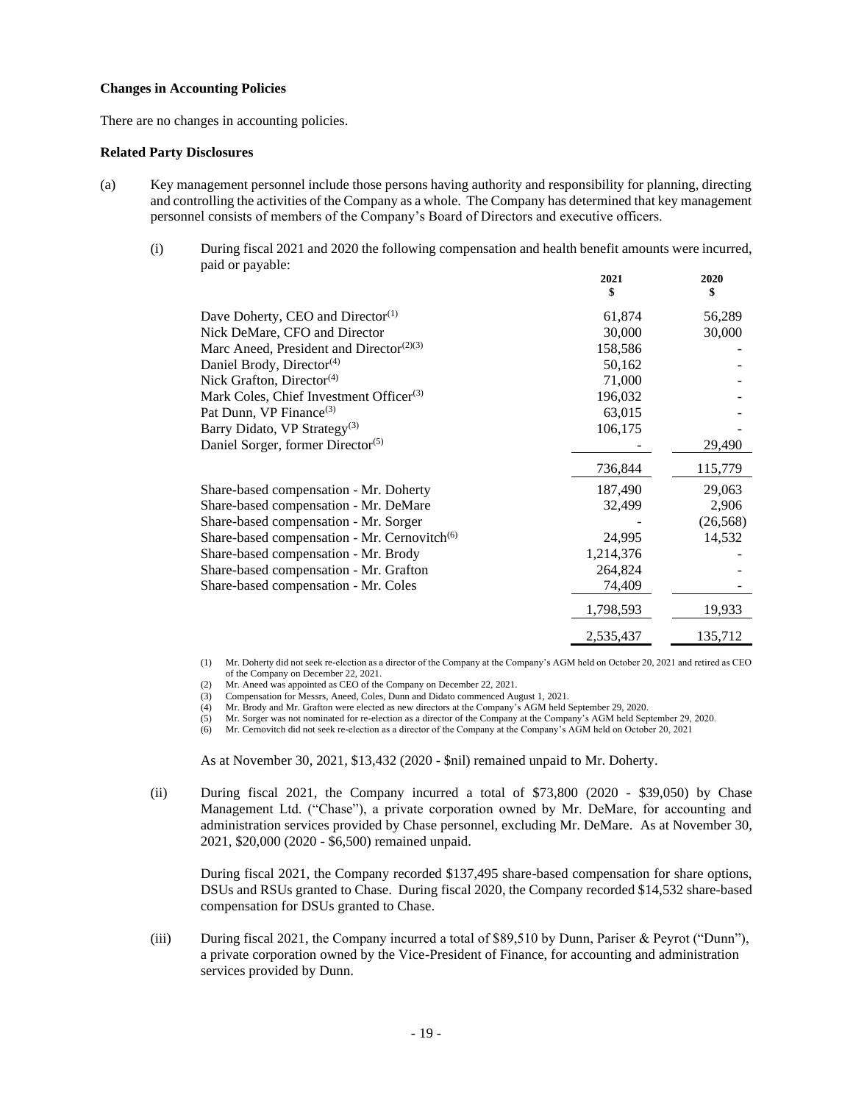#### **Changes in Accounting Policies**

There are no changes in accounting policies.

#### **Related Party Disclosures**

- (a) Key management personnel include those persons having authority and responsibility for planning, directing and controlling the activities of the Company as a whole. The Company has determined that key management personnel consists of members of the Company's Board of Directors and executive officers.
	- (i) During fiscal 2021 and 2020 the following compensation and health benefit amounts were incurred, paid or payable:

|                                                                   | 2021<br>\$ | 2020<br>\$ |
|-------------------------------------------------------------------|------------|------------|
| Dave Doherty, CEO and Director <sup>(1)</sup>                     | 61,874     | 56,289     |
| Nick DeMare, CFO and Director                                     | 30,000     | 30,000     |
| Marc Aneed, President and Director <sup><math>(2)(3)</math></sup> | 158,586    |            |
| Daniel Brody, Director <sup>(4)</sup>                             | 50,162     |            |
| Nick Grafton, Director <sup>(4)</sup>                             | 71,000     |            |
| Mark Coles, Chief Investment Officer <sup>(3)</sup>               | 196,032    |            |
| Pat Dunn, VP Finance <sup>(3)</sup>                               | 63,015     |            |
| Barry Didato, VP Strategy <sup>(3)</sup>                          | 106,175    |            |
| Daniel Sorger, former Director <sup>(5)</sup>                     |            | 29,490     |
|                                                                   | 736,844    | 115,779    |
| Share-based compensation - Mr. Doherty                            | 187,490    | 29,063     |
| Share-based compensation - Mr. DeMare                             | 32,499     | 2,906      |
| Share-based compensation - Mr. Sorger                             |            | (26, 568)  |
| Share-based compensation - Mr. Cernovitch <sup>(6)</sup>          | 24,995     | 14,532     |
| Share-based compensation - Mr. Brody                              | 1,214,376  |            |
| Share-based compensation - Mr. Grafton                            | 264,824    |            |
| Share-based compensation - Mr. Coles                              | 74,409     |            |
|                                                                   | 1,798,593  | 19,933     |
|                                                                   | 2,535,437  | 135,712    |

(1) Mr. Doherty did not seek re-election as a director of the Company at the Company's AGM held on October 20, 2021 and retired as CEO of the Company on December 22, 2021.

(2) Mr. Aneed was appointed as CEO of the Company on December 22, 2021.

(3) Compensation for Messrs, Aneed, Coles, Dunn and Didato commenced August 1, 2021.

(4) Mr. Brody and Mr. Grafton were elected as new directors at the Company's AGM held September 29, 2020.<br>(5) Mr. Sorger was not nominated for re-election as a director of the Company at the Company's AGM held Sep

(5) Mr. Sorger was not nominated for re-election as a director of the Company at the Company's AGM held September 29, 2020.

(6) Mr. Cernovitch did not seek re-election as a director of the Company at the Company's AGM held on October 20, 2021

As at November 30, 2021, \$13,432 (2020 - \$nil) remained unpaid to Mr. Doherty.

(ii) During fiscal 2021, the Company incurred a total of \$73,800 (2020 - \$39,050) by Chase Management Ltd. ("Chase"), a private corporation owned by Mr. DeMare, for accounting and administration services provided by Chase personnel, excluding Mr. DeMare. As at November 30, 2021, \$20,000 (2020 - \$6,500) remained unpaid.

During fiscal 2021, the Company recorded \$137,495 share-based compensation for share options, DSUs and RSUs granted to Chase. During fiscal 2020, the Company recorded \$14,532 share-based compensation for DSUs granted to Chase.

(iii) During fiscal 2021, the Company incurred a total of \$89,510 by Dunn, Pariser & Peyrot ("Dunn"), a private corporation owned by the Vice-President of Finance, for accounting and administration services provided by Dunn.